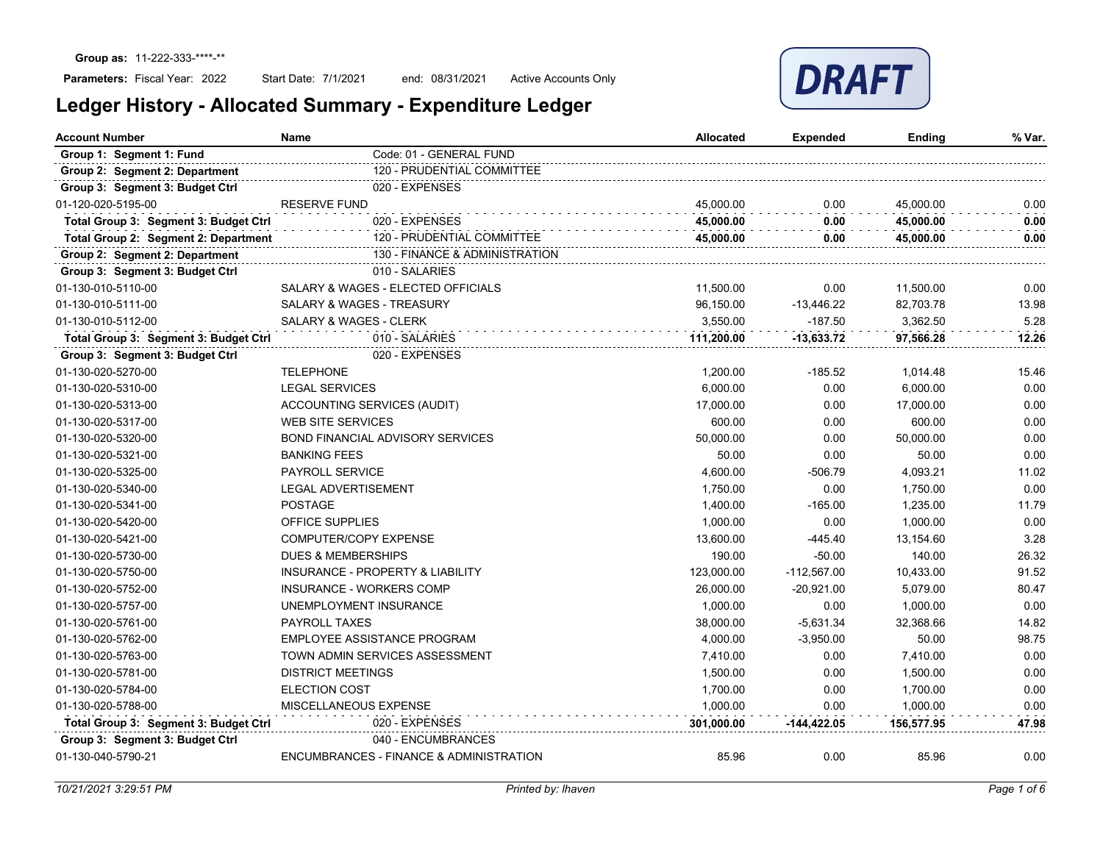

| <b>Account Number</b>                 | Name                                    | <b>Allocated</b> | <b>Expended</b> | Ending     | % Var. |
|---------------------------------------|-----------------------------------------|------------------|-----------------|------------|--------|
| Group 1: Segment 1: Fund              | Code: 01 - GENERAL FUND                 |                  |                 |            |        |
| Group 2: Segment 2: Department        | 120 - PRUDENTIAL COMMITTEE              |                  |                 |            |        |
| Group 3: Segment 3: Budget Ctrl       | 020 - EXPENSES                          |                  |                 |            |        |
| 01-120-020-5195-00                    | <b>RESERVE FUND</b>                     | 45,000.00        | 0.00            | 45,000.00  | 0.00   |
| Total Group 3: Segment 3: Budget Ctrl | 020 - EXPENSES                          | 45,000.00        | 0.00            | 45,000.00  | 0.00   |
| Total Group 2: Segment 2: Department  | 120 - PRUDENTIAL COMMITTEE              | 45,000.00        | 0.00            | 45,000.00  | 0.00   |
| Group 2: Segment 2: Department        | 130 - FINANCE & ADMINISTRATION          |                  |                 |            |        |
| Group 3: Segment 3: Budget Ctrl       | 010 - SALARIES                          |                  |                 |            |        |
| 01-130-010-5110-00                    | SALARY & WAGES - ELECTED OFFICIALS      | 11,500.00        | 0.00            | 11,500.00  | 0.00   |
| 01-130-010-5111-00                    | SALARY & WAGES - TREASURY               | 96,150.00        | $-13,446.22$    | 82,703.78  | 13.98  |
| 01-130-010-5112-00                    | <b>SALARY &amp; WAGES - CLERK</b>       | 3,550.00         | $-187.50$       | 3,362.50   | 5.28   |
| Total Group 3: Segment 3: Budget Ctrl | 010 - SALARIES                          | 111,200.00       | $-13,633.72$    | 97,566.28  | 12.26  |
| Group 3: Segment 3: Budget Ctrl       | 020 - EXPENSES                          |                  |                 |            |        |
| 01-130-020-5270-00                    | <b>TELEPHONE</b>                        | 1.200.00         | $-185.52$       | 1,014.48   | 15.46  |
| 01-130-020-5310-00                    | <b>LEGAL SERVICES</b>                   | 6.000.00         | 0.00            | 6.000.00   | 0.00   |
| 01-130-020-5313-00                    | ACCOUNTING SERVICES (AUDIT)             | 17,000.00        | 0.00            | 17,000.00  | 0.00   |
| 01-130-020-5317-00                    | <b>WEB SITE SERVICES</b>                | 600.00           | 0.00            | 600.00     | 0.00   |
| 01-130-020-5320-00                    | <b>BOND FINANCIAL ADVISORY SERVICES</b> | 50,000.00        | 0.00            | 50,000.00  | 0.00   |
| 01-130-020-5321-00                    | <b>BANKING FEES</b>                     | 50.00            | 0.00            | 50.00      | 0.00   |
| 01-130-020-5325-00                    | <b>PAYROLL SERVICE</b>                  | 4,600.00         | $-506.79$       | 4,093.21   | 11.02  |
| 01-130-020-5340-00                    | <b>LEGAL ADVERTISEMENT</b>              | 1,750.00         | 0.00            | 1,750.00   | 0.00   |
| 01-130-020-5341-00                    | <b>POSTAGE</b>                          | 1,400.00         | $-165.00$       | 1,235.00   | 11.79  |
| 01-130-020-5420-00                    | <b>OFFICE SUPPLIES</b>                  | 1,000.00         | 0.00            | 1,000.00   | 0.00   |
| 01-130-020-5421-00                    | COMPUTER/COPY EXPENSE                   | 13,600.00        | $-445.40$       | 13,154.60  | 3.28   |
| 01-130-020-5730-00                    | <b>DUES &amp; MEMBERSHIPS</b>           | 190.00           | $-50.00$        | 140.00     | 26.32  |
| 01-130-020-5750-00                    | INSURANCE - PROPERTY & LIABILITY        | 123,000.00       | $-112,567.00$   | 10,433.00  | 91.52  |
| 01-130-020-5752-00                    | INSURANCE - WORKERS COMP                | 26,000.00        | $-20,921.00$    | 5,079.00   | 80.47  |
| 01-130-020-5757-00                    | UNEMPLOYMENT INSURANCE                  | 1,000.00         | 0.00            | 1,000.00   | 0.00   |
| 01-130-020-5761-00                    | <b>PAYROLL TAXES</b>                    | 38,000.00        | $-5,631.34$     | 32,368.66  | 14.82  |
| 01-130-020-5762-00                    | EMPLOYEE ASSISTANCE PROGRAM             | 4,000.00         | $-3,950.00$     | 50.00      | 98.75  |
| 01-130-020-5763-00                    | TOWN ADMIN SERVICES ASSESSMENT          | 7,410.00         | 0.00            | 7,410.00   | 0.00   |
| 01-130-020-5781-00                    | <b>DISTRICT MEETINGS</b>                | 1,500.00         | 0.00            | 1,500.00   | 0.00   |
| 01-130-020-5784-00                    | <b>ELECTION COST</b>                    | 1,700.00         | 0.00            | 1,700.00   | 0.00   |
| 01-130-020-5788-00                    | MISCELLANEOUS EXPENSE                   | 1,000.00         | 0.00            | 1,000.00   | 0.00   |
| Total Group 3: Segment 3: Budget Ctrl | 020 - EXPENSES                          | 301.000.00       | -144.422.05     | 156.577.95 | 47.98  |
| Group 3: Segment 3: Budget Ctrl       | 040 - ENCUMBRANCES                      |                  |                 |            |        |
| 01-130-040-5790-21                    | ENCUMBRANCES - FINANCE & ADMINISTRATION | 85.96            | 0.00            | 85.96      | 0.00   |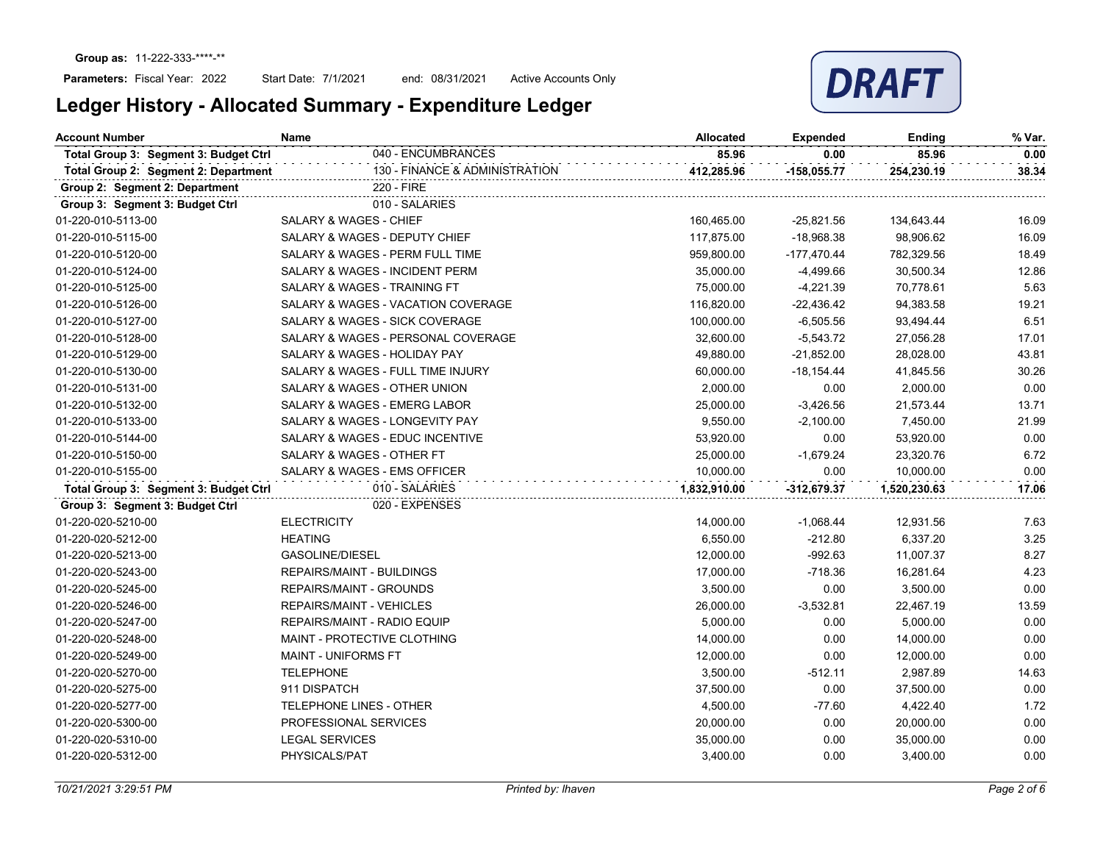

| 040 - ENCUMBRANCES<br>85.96<br>85.96<br>Total Group 3: Segment 3: Budget Ctrl<br>0.00<br>130 - FINANCE & ADMINISTRATION<br>Total Group 2: Segment 2: Department<br>412,285.96<br>$-158,055.77$<br>254,230.19<br>220 - FIRE<br>Group 2: Segment 2: Department<br>010 - SALARIES<br>Group 3: Segment 3: Budget Ctrl<br><b>SALARY &amp; WAGES - CHIEF</b><br>01-220-010-5113-00<br>$-25,821.56$<br>160,465.00<br>134,643.44<br>01-220-010-5115-00<br>SALARY & WAGES - DEPUTY CHIEF<br>117,875.00<br>$-18,968.38$<br>98,906.62<br>SALARY & WAGES - PERM FULL TIME<br>959,800.00<br>$-177,470.44$<br>782,329.56<br>01-220-010-5120-00<br>SALARY & WAGES - INCIDENT PERM<br>$-4,499.66$<br>30,500.34<br>01-220-010-5124-00<br>35,000.00<br>SALARY & WAGES - TRAINING FT<br>01-220-010-5125-00<br>75,000.00<br>-4,221.39<br>70,778.61<br>SALARY & WAGES - VACATION COVERAGE<br>116,820.00<br>$-22,436.42$<br>94,383.58<br>01-220-010-5126-00<br>SALARY & WAGES - SICK COVERAGE<br>100,000.00<br>$-6,505.56$<br>93,494.44<br>01-220-010-5127-00<br>SALARY & WAGES - PERSONAL COVERAGE<br>32,600.00<br>$-5,543.72$<br>27,056.28<br>01-220-010-5128-00<br>SALARY & WAGES - HOLIDAY PAY<br>$-21,852.00$<br>28,028.00<br>01-220-010-5129-00<br>49,880.00<br>01-220-010-5130-00<br>SALARY & WAGES - FULL TIME INJURY<br>60,000.00<br>$-18,154.44$<br>41,845.56<br>SALARY & WAGES - OTHER UNION<br>2,000.00<br>0.00<br>2,000.00<br>01-220-010-5131-00<br>SALARY & WAGES - EMERG LABOR<br>25,000.00<br>$-3,426.56$<br>21,573.44<br>01-220-010-5132-00<br>9,550.00<br>$-2,100.00$<br>7,450.00<br>01-220-010-5133-00<br>SALARY & WAGES - LONGEVITY PAY<br>01-220-010-5144-00<br>SALARY & WAGES - EDUC INCENTIVE<br>53,920.00<br>0.00<br>53,920.00<br>01-220-010-5150-00<br>SALARY & WAGES - OTHER FT<br>25,000.00<br>$-1,679.24$<br>23,320.76<br>01-220-010-5155-00<br>SALARY & WAGES - EMS OFFICER<br>10,000.00<br>0.00<br>10,000.00<br>010 - SALARIES<br>Total Group 3: Segment 3: Budget Ctrl<br>1,832,910.00<br>$-312,679.37$<br>1,520,230.63<br>020 - EXPENSES<br>Group 3: Segment 3: Budget Ctrl<br>01-220-020-5210-00<br><b>ELECTRICITY</b><br>12,931.56<br>14,000.00<br>$-1,068.44$<br><b>HEATING</b><br>6,550.00<br>$-212.80$<br>6,337.20<br>01-220-020-5212-00<br>$-992.63$<br>01-220-020-5213-00<br>GASOLINE/DIESEL<br>12,000.00<br>11,007.37<br>01-220-020-5243-00<br>REPAIRS/MAINT - BUILDINGS<br>17,000.00<br>$-718.36$<br>16,281.64<br>01-220-020-5245-00<br>REPAIRS/MAINT - GROUNDS<br>3,500.00<br>0.00<br>3,500.00<br>01-220-020-5246-00<br><b>REPAIRS/MAINT - VEHICLES</b><br>26,000.00<br>$-3,532.81$<br>22,467.19<br>01-220-020-5247-00<br>5,000.00<br>REPAIRS/MAINT - RADIO EQUIP<br>0.00<br>5,000.00<br>01-220-020-5248-00<br>MAINT - PROTECTIVE CLOTHING<br>14,000.00<br>0.00<br>14,000.00<br><b>MAINT - UNIFORMS FT</b><br>0.00<br>01-220-020-5249-00<br>12,000.00<br>12,000.00<br><b>TELEPHONE</b><br>$-512.11$<br>01-220-020-5270-00<br>3,500.00<br>2,987.89<br>911 DISPATCH<br>01-220-020-5275-00<br>37,500.00<br>0.00<br>37,500.00<br>01-220-020-5277-00<br>TELEPHONE LINES - OTHER<br>4,500.00<br>$-77.60$<br>4,422.40<br>PROFESSIONAL SERVICES<br>20,000.00<br>0.00<br>20,000.00<br>01-220-020-5300-00<br><b>LEGAL SERVICES</b><br>0.00<br>35,000.00<br>01-220-020-5310-00<br>35,000.00<br>01-220-020-5312-00<br>PHYSICALS/PAT<br>3,400.00<br>0.00<br>3,400.00 | <b>Account Number</b> | Name | <b>Allocated</b> | <b>Expended</b> | Ending | % Var. |
|-----------------------------------------------------------------------------------------------------------------------------------------------------------------------------------------------------------------------------------------------------------------------------------------------------------------------------------------------------------------------------------------------------------------------------------------------------------------------------------------------------------------------------------------------------------------------------------------------------------------------------------------------------------------------------------------------------------------------------------------------------------------------------------------------------------------------------------------------------------------------------------------------------------------------------------------------------------------------------------------------------------------------------------------------------------------------------------------------------------------------------------------------------------------------------------------------------------------------------------------------------------------------------------------------------------------------------------------------------------------------------------------------------------------------------------------------------------------------------------------------------------------------------------------------------------------------------------------------------------------------------------------------------------------------------------------------------------------------------------------------------------------------------------------------------------------------------------------------------------------------------------------------------------------------------------------------------------------------------------------------------------------------------------------------------------------------------------------------------------------------------------------------------------------------------------------------------------------------------------------------------------------------------------------------------------------------------------------------------------------------------------------------------------------------------------------------------------------------------------------------------------------------------------------------------------------------------------------------------------------------------------------------------------------------------------------------------------------------------------------------------------------------------------------------------------------------------------------------------------------------------------------------------------------------------------------------------------------------------------------------------------------------------------------------------------------------------------------------------------------------------------------------------------------------------------------------------------------------------------------------------------------------------------------------------------------------------------------------------------------------------|-----------------------|------|------------------|-----------------|--------|--------|
|                                                                                                                                                                                                                                                                                                                                                                                                                                                                                                                                                                                                                                                                                                                                                                                                                                                                                                                                                                                                                                                                                                                                                                                                                                                                                                                                                                                                                                                                                                                                                                                                                                                                                                                                                                                                                                                                                                                                                                                                                                                                                                                                                                                                                                                                                                                                                                                                                                                                                                                                                                                                                                                                                                                                                                                                                                                                                                                                                                                                                                                                                                                                                                                                                                                                                                                                                                             |                       |      |                  |                 |        | 0.00   |
|                                                                                                                                                                                                                                                                                                                                                                                                                                                                                                                                                                                                                                                                                                                                                                                                                                                                                                                                                                                                                                                                                                                                                                                                                                                                                                                                                                                                                                                                                                                                                                                                                                                                                                                                                                                                                                                                                                                                                                                                                                                                                                                                                                                                                                                                                                                                                                                                                                                                                                                                                                                                                                                                                                                                                                                                                                                                                                                                                                                                                                                                                                                                                                                                                                                                                                                                                                             |                       |      |                  |                 |        | 38.34  |
|                                                                                                                                                                                                                                                                                                                                                                                                                                                                                                                                                                                                                                                                                                                                                                                                                                                                                                                                                                                                                                                                                                                                                                                                                                                                                                                                                                                                                                                                                                                                                                                                                                                                                                                                                                                                                                                                                                                                                                                                                                                                                                                                                                                                                                                                                                                                                                                                                                                                                                                                                                                                                                                                                                                                                                                                                                                                                                                                                                                                                                                                                                                                                                                                                                                                                                                                                                             |                       |      |                  |                 |        |        |
|                                                                                                                                                                                                                                                                                                                                                                                                                                                                                                                                                                                                                                                                                                                                                                                                                                                                                                                                                                                                                                                                                                                                                                                                                                                                                                                                                                                                                                                                                                                                                                                                                                                                                                                                                                                                                                                                                                                                                                                                                                                                                                                                                                                                                                                                                                                                                                                                                                                                                                                                                                                                                                                                                                                                                                                                                                                                                                                                                                                                                                                                                                                                                                                                                                                                                                                                                                             |                       |      |                  |                 |        |        |
|                                                                                                                                                                                                                                                                                                                                                                                                                                                                                                                                                                                                                                                                                                                                                                                                                                                                                                                                                                                                                                                                                                                                                                                                                                                                                                                                                                                                                                                                                                                                                                                                                                                                                                                                                                                                                                                                                                                                                                                                                                                                                                                                                                                                                                                                                                                                                                                                                                                                                                                                                                                                                                                                                                                                                                                                                                                                                                                                                                                                                                                                                                                                                                                                                                                                                                                                                                             |                       |      |                  |                 |        | 16.09  |
|                                                                                                                                                                                                                                                                                                                                                                                                                                                                                                                                                                                                                                                                                                                                                                                                                                                                                                                                                                                                                                                                                                                                                                                                                                                                                                                                                                                                                                                                                                                                                                                                                                                                                                                                                                                                                                                                                                                                                                                                                                                                                                                                                                                                                                                                                                                                                                                                                                                                                                                                                                                                                                                                                                                                                                                                                                                                                                                                                                                                                                                                                                                                                                                                                                                                                                                                                                             |                       |      |                  |                 |        | 16.09  |
|                                                                                                                                                                                                                                                                                                                                                                                                                                                                                                                                                                                                                                                                                                                                                                                                                                                                                                                                                                                                                                                                                                                                                                                                                                                                                                                                                                                                                                                                                                                                                                                                                                                                                                                                                                                                                                                                                                                                                                                                                                                                                                                                                                                                                                                                                                                                                                                                                                                                                                                                                                                                                                                                                                                                                                                                                                                                                                                                                                                                                                                                                                                                                                                                                                                                                                                                                                             |                       |      |                  |                 |        | 18.49  |
|                                                                                                                                                                                                                                                                                                                                                                                                                                                                                                                                                                                                                                                                                                                                                                                                                                                                                                                                                                                                                                                                                                                                                                                                                                                                                                                                                                                                                                                                                                                                                                                                                                                                                                                                                                                                                                                                                                                                                                                                                                                                                                                                                                                                                                                                                                                                                                                                                                                                                                                                                                                                                                                                                                                                                                                                                                                                                                                                                                                                                                                                                                                                                                                                                                                                                                                                                                             |                       |      |                  |                 |        | 12.86  |
|                                                                                                                                                                                                                                                                                                                                                                                                                                                                                                                                                                                                                                                                                                                                                                                                                                                                                                                                                                                                                                                                                                                                                                                                                                                                                                                                                                                                                                                                                                                                                                                                                                                                                                                                                                                                                                                                                                                                                                                                                                                                                                                                                                                                                                                                                                                                                                                                                                                                                                                                                                                                                                                                                                                                                                                                                                                                                                                                                                                                                                                                                                                                                                                                                                                                                                                                                                             |                       |      |                  |                 |        | 5.63   |
|                                                                                                                                                                                                                                                                                                                                                                                                                                                                                                                                                                                                                                                                                                                                                                                                                                                                                                                                                                                                                                                                                                                                                                                                                                                                                                                                                                                                                                                                                                                                                                                                                                                                                                                                                                                                                                                                                                                                                                                                                                                                                                                                                                                                                                                                                                                                                                                                                                                                                                                                                                                                                                                                                                                                                                                                                                                                                                                                                                                                                                                                                                                                                                                                                                                                                                                                                                             |                       |      |                  |                 |        | 19.21  |
|                                                                                                                                                                                                                                                                                                                                                                                                                                                                                                                                                                                                                                                                                                                                                                                                                                                                                                                                                                                                                                                                                                                                                                                                                                                                                                                                                                                                                                                                                                                                                                                                                                                                                                                                                                                                                                                                                                                                                                                                                                                                                                                                                                                                                                                                                                                                                                                                                                                                                                                                                                                                                                                                                                                                                                                                                                                                                                                                                                                                                                                                                                                                                                                                                                                                                                                                                                             |                       |      |                  |                 |        | 6.51   |
|                                                                                                                                                                                                                                                                                                                                                                                                                                                                                                                                                                                                                                                                                                                                                                                                                                                                                                                                                                                                                                                                                                                                                                                                                                                                                                                                                                                                                                                                                                                                                                                                                                                                                                                                                                                                                                                                                                                                                                                                                                                                                                                                                                                                                                                                                                                                                                                                                                                                                                                                                                                                                                                                                                                                                                                                                                                                                                                                                                                                                                                                                                                                                                                                                                                                                                                                                                             |                       |      |                  |                 |        | 17.01  |
|                                                                                                                                                                                                                                                                                                                                                                                                                                                                                                                                                                                                                                                                                                                                                                                                                                                                                                                                                                                                                                                                                                                                                                                                                                                                                                                                                                                                                                                                                                                                                                                                                                                                                                                                                                                                                                                                                                                                                                                                                                                                                                                                                                                                                                                                                                                                                                                                                                                                                                                                                                                                                                                                                                                                                                                                                                                                                                                                                                                                                                                                                                                                                                                                                                                                                                                                                                             |                       |      |                  |                 |        | 43.81  |
|                                                                                                                                                                                                                                                                                                                                                                                                                                                                                                                                                                                                                                                                                                                                                                                                                                                                                                                                                                                                                                                                                                                                                                                                                                                                                                                                                                                                                                                                                                                                                                                                                                                                                                                                                                                                                                                                                                                                                                                                                                                                                                                                                                                                                                                                                                                                                                                                                                                                                                                                                                                                                                                                                                                                                                                                                                                                                                                                                                                                                                                                                                                                                                                                                                                                                                                                                                             |                       |      |                  |                 |        | 30.26  |
|                                                                                                                                                                                                                                                                                                                                                                                                                                                                                                                                                                                                                                                                                                                                                                                                                                                                                                                                                                                                                                                                                                                                                                                                                                                                                                                                                                                                                                                                                                                                                                                                                                                                                                                                                                                                                                                                                                                                                                                                                                                                                                                                                                                                                                                                                                                                                                                                                                                                                                                                                                                                                                                                                                                                                                                                                                                                                                                                                                                                                                                                                                                                                                                                                                                                                                                                                                             |                       |      |                  |                 |        | 0.00   |
|                                                                                                                                                                                                                                                                                                                                                                                                                                                                                                                                                                                                                                                                                                                                                                                                                                                                                                                                                                                                                                                                                                                                                                                                                                                                                                                                                                                                                                                                                                                                                                                                                                                                                                                                                                                                                                                                                                                                                                                                                                                                                                                                                                                                                                                                                                                                                                                                                                                                                                                                                                                                                                                                                                                                                                                                                                                                                                                                                                                                                                                                                                                                                                                                                                                                                                                                                                             |                       |      |                  |                 |        | 13.71  |
|                                                                                                                                                                                                                                                                                                                                                                                                                                                                                                                                                                                                                                                                                                                                                                                                                                                                                                                                                                                                                                                                                                                                                                                                                                                                                                                                                                                                                                                                                                                                                                                                                                                                                                                                                                                                                                                                                                                                                                                                                                                                                                                                                                                                                                                                                                                                                                                                                                                                                                                                                                                                                                                                                                                                                                                                                                                                                                                                                                                                                                                                                                                                                                                                                                                                                                                                                                             |                       |      |                  |                 |        | 21.99  |
|                                                                                                                                                                                                                                                                                                                                                                                                                                                                                                                                                                                                                                                                                                                                                                                                                                                                                                                                                                                                                                                                                                                                                                                                                                                                                                                                                                                                                                                                                                                                                                                                                                                                                                                                                                                                                                                                                                                                                                                                                                                                                                                                                                                                                                                                                                                                                                                                                                                                                                                                                                                                                                                                                                                                                                                                                                                                                                                                                                                                                                                                                                                                                                                                                                                                                                                                                                             |                       |      |                  |                 |        | 0.00   |
|                                                                                                                                                                                                                                                                                                                                                                                                                                                                                                                                                                                                                                                                                                                                                                                                                                                                                                                                                                                                                                                                                                                                                                                                                                                                                                                                                                                                                                                                                                                                                                                                                                                                                                                                                                                                                                                                                                                                                                                                                                                                                                                                                                                                                                                                                                                                                                                                                                                                                                                                                                                                                                                                                                                                                                                                                                                                                                                                                                                                                                                                                                                                                                                                                                                                                                                                                                             |                       |      |                  |                 |        | 6.72   |
|                                                                                                                                                                                                                                                                                                                                                                                                                                                                                                                                                                                                                                                                                                                                                                                                                                                                                                                                                                                                                                                                                                                                                                                                                                                                                                                                                                                                                                                                                                                                                                                                                                                                                                                                                                                                                                                                                                                                                                                                                                                                                                                                                                                                                                                                                                                                                                                                                                                                                                                                                                                                                                                                                                                                                                                                                                                                                                                                                                                                                                                                                                                                                                                                                                                                                                                                                                             |                       |      |                  |                 |        | 0.00   |
|                                                                                                                                                                                                                                                                                                                                                                                                                                                                                                                                                                                                                                                                                                                                                                                                                                                                                                                                                                                                                                                                                                                                                                                                                                                                                                                                                                                                                                                                                                                                                                                                                                                                                                                                                                                                                                                                                                                                                                                                                                                                                                                                                                                                                                                                                                                                                                                                                                                                                                                                                                                                                                                                                                                                                                                                                                                                                                                                                                                                                                                                                                                                                                                                                                                                                                                                                                             |                       |      |                  |                 |        | 17.06  |
|                                                                                                                                                                                                                                                                                                                                                                                                                                                                                                                                                                                                                                                                                                                                                                                                                                                                                                                                                                                                                                                                                                                                                                                                                                                                                                                                                                                                                                                                                                                                                                                                                                                                                                                                                                                                                                                                                                                                                                                                                                                                                                                                                                                                                                                                                                                                                                                                                                                                                                                                                                                                                                                                                                                                                                                                                                                                                                                                                                                                                                                                                                                                                                                                                                                                                                                                                                             |                       |      |                  |                 |        |        |
|                                                                                                                                                                                                                                                                                                                                                                                                                                                                                                                                                                                                                                                                                                                                                                                                                                                                                                                                                                                                                                                                                                                                                                                                                                                                                                                                                                                                                                                                                                                                                                                                                                                                                                                                                                                                                                                                                                                                                                                                                                                                                                                                                                                                                                                                                                                                                                                                                                                                                                                                                                                                                                                                                                                                                                                                                                                                                                                                                                                                                                                                                                                                                                                                                                                                                                                                                                             |                       |      |                  |                 |        | 7.63   |
|                                                                                                                                                                                                                                                                                                                                                                                                                                                                                                                                                                                                                                                                                                                                                                                                                                                                                                                                                                                                                                                                                                                                                                                                                                                                                                                                                                                                                                                                                                                                                                                                                                                                                                                                                                                                                                                                                                                                                                                                                                                                                                                                                                                                                                                                                                                                                                                                                                                                                                                                                                                                                                                                                                                                                                                                                                                                                                                                                                                                                                                                                                                                                                                                                                                                                                                                                                             |                       |      |                  |                 |        | 3.25   |
|                                                                                                                                                                                                                                                                                                                                                                                                                                                                                                                                                                                                                                                                                                                                                                                                                                                                                                                                                                                                                                                                                                                                                                                                                                                                                                                                                                                                                                                                                                                                                                                                                                                                                                                                                                                                                                                                                                                                                                                                                                                                                                                                                                                                                                                                                                                                                                                                                                                                                                                                                                                                                                                                                                                                                                                                                                                                                                                                                                                                                                                                                                                                                                                                                                                                                                                                                                             |                       |      |                  |                 |        | 8.27   |
|                                                                                                                                                                                                                                                                                                                                                                                                                                                                                                                                                                                                                                                                                                                                                                                                                                                                                                                                                                                                                                                                                                                                                                                                                                                                                                                                                                                                                                                                                                                                                                                                                                                                                                                                                                                                                                                                                                                                                                                                                                                                                                                                                                                                                                                                                                                                                                                                                                                                                                                                                                                                                                                                                                                                                                                                                                                                                                                                                                                                                                                                                                                                                                                                                                                                                                                                                                             |                       |      |                  |                 |        | 4.23   |
|                                                                                                                                                                                                                                                                                                                                                                                                                                                                                                                                                                                                                                                                                                                                                                                                                                                                                                                                                                                                                                                                                                                                                                                                                                                                                                                                                                                                                                                                                                                                                                                                                                                                                                                                                                                                                                                                                                                                                                                                                                                                                                                                                                                                                                                                                                                                                                                                                                                                                                                                                                                                                                                                                                                                                                                                                                                                                                                                                                                                                                                                                                                                                                                                                                                                                                                                                                             |                       |      |                  |                 |        | 0.00   |
|                                                                                                                                                                                                                                                                                                                                                                                                                                                                                                                                                                                                                                                                                                                                                                                                                                                                                                                                                                                                                                                                                                                                                                                                                                                                                                                                                                                                                                                                                                                                                                                                                                                                                                                                                                                                                                                                                                                                                                                                                                                                                                                                                                                                                                                                                                                                                                                                                                                                                                                                                                                                                                                                                                                                                                                                                                                                                                                                                                                                                                                                                                                                                                                                                                                                                                                                                                             |                       |      |                  |                 |        | 13.59  |
|                                                                                                                                                                                                                                                                                                                                                                                                                                                                                                                                                                                                                                                                                                                                                                                                                                                                                                                                                                                                                                                                                                                                                                                                                                                                                                                                                                                                                                                                                                                                                                                                                                                                                                                                                                                                                                                                                                                                                                                                                                                                                                                                                                                                                                                                                                                                                                                                                                                                                                                                                                                                                                                                                                                                                                                                                                                                                                                                                                                                                                                                                                                                                                                                                                                                                                                                                                             |                       |      |                  |                 |        | 0.00   |
|                                                                                                                                                                                                                                                                                                                                                                                                                                                                                                                                                                                                                                                                                                                                                                                                                                                                                                                                                                                                                                                                                                                                                                                                                                                                                                                                                                                                                                                                                                                                                                                                                                                                                                                                                                                                                                                                                                                                                                                                                                                                                                                                                                                                                                                                                                                                                                                                                                                                                                                                                                                                                                                                                                                                                                                                                                                                                                                                                                                                                                                                                                                                                                                                                                                                                                                                                                             |                       |      |                  |                 |        | 0.00   |
|                                                                                                                                                                                                                                                                                                                                                                                                                                                                                                                                                                                                                                                                                                                                                                                                                                                                                                                                                                                                                                                                                                                                                                                                                                                                                                                                                                                                                                                                                                                                                                                                                                                                                                                                                                                                                                                                                                                                                                                                                                                                                                                                                                                                                                                                                                                                                                                                                                                                                                                                                                                                                                                                                                                                                                                                                                                                                                                                                                                                                                                                                                                                                                                                                                                                                                                                                                             |                       |      |                  |                 |        | 0.00   |
|                                                                                                                                                                                                                                                                                                                                                                                                                                                                                                                                                                                                                                                                                                                                                                                                                                                                                                                                                                                                                                                                                                                                                                                                                                                                                                                                                                                                                                                                                                                                                                                                                                                                                                                                                                                                                                                                                                                                                                                                                                                                                                                                                                                                                                                                                                                                                                                                                                                                                                                                                                                                                                                                                                                                                                                                                                                                                                                                                                                                                                                                                                                                                                                                                                                                                                                                                                             |                       |      |                  |                 |        | 14.63  |
|                                                                                                                                                                                                                                                                                                                                                                                                                                                                                                                                                                                                                                                                                                                                                                                                                                                                                                                                                                                                                                                                                                                                                                                                                                                                                                                                                                                                                                                                                                                                                                                                                                                                                                                                                                                                                                                                                                                                                                                                                                                                                                                                                                                                                                                                                                                                                                                                                                                                                                                                                                                                                                                                                                                                                                                                                                                                                                                                                                                                                                                                                                                                                                                                                                                                                                                                                                             |                       |      |                  |                 |        | 0.00   |
|                                                                                                                                                                                                                                                                                                                                                                                                                                                                                                                                                                                                                                                                                                                                                                                                                                                                                                                                                                                                                                                                                                                                                                                                                                                                                                                                                                                                                                                                                                                                                                                                                                                                                                                                                                                                                                                                                                                                                                                                                                                                                                                                                                                                                                                                                                                                                                                                                                                                                                                                                                                                                                                                                                                                                                                                                                                                                                                                                                                                                                                                                                                                                                                                                                                                                                                                                                             |                       |      |                  |                 |        | 1.72   |
|                                                                                                                                                                                                                                                                                                                                                                                                                                                                                                                                                                                                                                                                                                                                                                                                                                                                                                                                                                                                                                                                                                                                                                                                                                                                                                                                                                                                                                                                                                                                                                                                                                                                                                                                                                                                                                                                                                                                                                                                                                                                                                                                                                                                                                                                                                                                                                                                                                                                                                                                                                                                                                                                                                                                                                                                                                                                                                                                                                                                                                                                                                                                                                                                                                                                                                                                                                             |                       |      |                  |                 |        | 0.00   |
|                                                                                                                                                                                                                                                                                                                                                                                                                                                                                                                                                                                                                                                                                                                                                                                                                                                                                                                                                                                                                                                                                                                                                                                                                                                                                                                                                                                                                                                                                                                                                                                                                                                                                                                                                                                                                                                                                                                                                                                                                                                                                                                                                                                                                                                                                                                                                                                                                                                                                                                                                                                                                                                                                                                                                                                                                                                                                                                                                                                                                                                                                                                                                                                                                                                                                                                                                                             |                       |      |                  |                 |        | 0.00   |
|                                                                                                                                                                                                                                                                                                                                                                                                                                                                                                                                                                                                                                                                                                                                                                                                                                                                                                                                                                                                                                                                                                                                                                                                                                                                                                                                                                                                                                                                                                                                                                                                                                                                                                                                                                                                                                                                                                                                                                                                                                                                                                                                                                                                                                                                                                                                                                                                                                                                                                                                                                                                                                                                                                                                                                                                                                                                                                                                                                                                                                                                                                                                                                                                                                                                                                                                                                             |                       |      |                  |                 |        | 0.00   |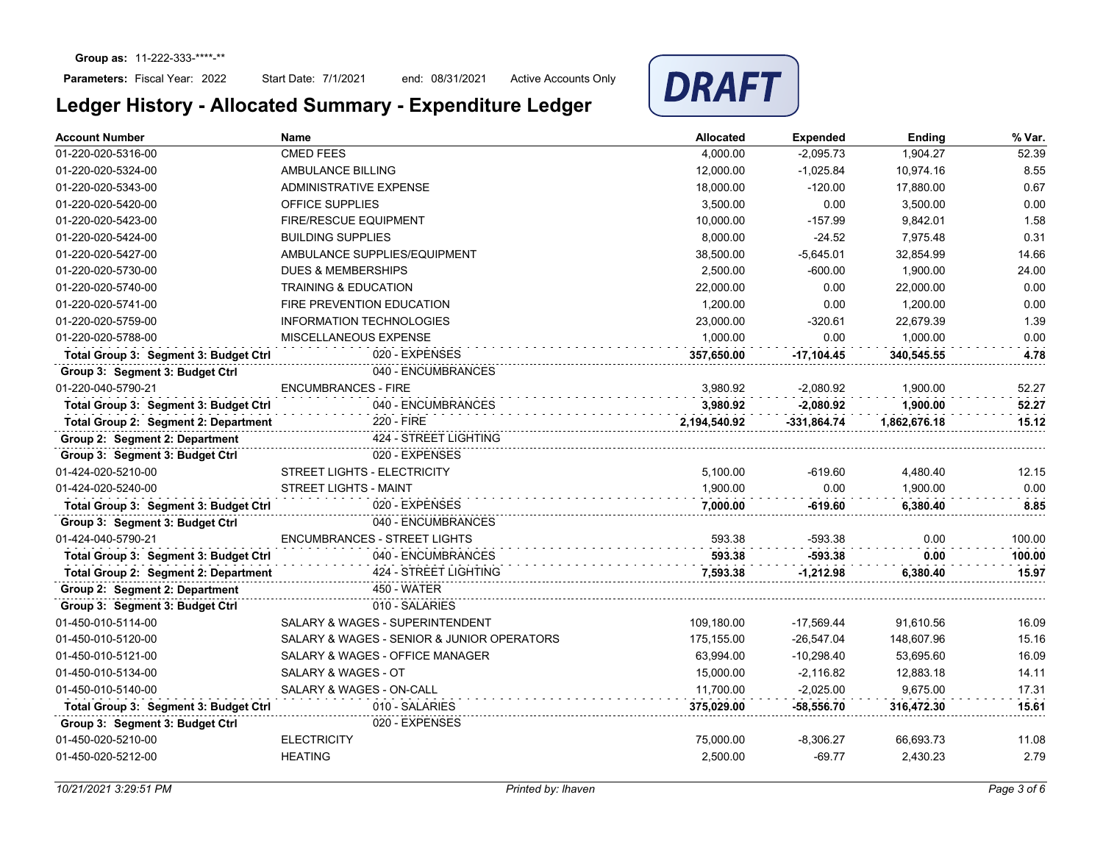## Parameters: Fiscal Year: 2022

Start Date: 7/1/2021 end: 08/31/2021 Active Accounts Only



| <b>CMED FEES</b><br>52.39<br>01-220-020-5316-00<br>4.000.00<br>$-2,095.73$<br>1,904.27<br>8.55<br>01-220-020-5324-00<br>AMBULANCE BILLING<br>12,000.00<br>$-1,025.84$<br>10,974.16<br>0.67<br>01-220-020-5343-00<br>ADMINISTRATIVE EXPENSE<br>18,000.00<br>$-120.00$<br>17,880.00<br>0.00<br>01-220-020-5420-00<br>OFFICE SUPPLIES<br>3,500.00<br>0.00<br>3,500.00<br>1.58<br>01-220-020-5423-00<br><b>FIRE/RESCUE EQUIPMENT</b><br>10,000.00<br>$-157.99$<br>9,842.01<br>0.31<br><b>BUILDING SUPPLIES</b><br>8,000.00<br>$-24.52$<br>01-220-020-5424-00<br>7,975.48<br>AMBULANCE SUPPLIES/EQUIPMENT<br>38,500.00<br>14.66<br>01-220-020-5427-00<br>$-5,645.01$<br>32,854.99<br>01-220-020-5730-00<br><b>DUES &amp; MEMBERSHIPS</b><br>2,500.00<br>$-600.00$<br>1,900.00<br>24.00<br>0.00<br>01-220-020-5740-00<br><b>TRAINING &amp; EDUCATION</b><br>22,000.00<br>0.00<br>22,000.00<br>0.00<br>01-220-020-5741-00<br><b>FIRE PREVENTION EDUCATION</b><br>1,200.00<br>0.00<br>1,200.00<br>1.39<br>01-220-020-5759-00<br><b>INFORMATION TECHNOLOGIES</b><br>23,000.00<br>$-320.61$<br>22,679.39<br>01-220-020-5788-00<br>1,000.00<br>1,000.00<br>0.00<br>MISCELLANEOUS EXPENSE<br>0.00<br>020 - EXPENSES<br>Total Group 3: Segment 3: Budget Ctrl<br>4.78<br>357,650.00<br>$-17,104.45$<br>340,545.55<br>040 - ENCUMBRANCES<br>Group 3: Segment 3: Budget Ctrl<br>3.980.92<br>1.900.00<br>01-220-040-5790-21<br><b>ENCUMBRANCES - FIRE</b><br>$-2.080.92$<br>52.27<br>040 - ENCUMBRANCES<br>Total Group 3: Segment 3: Budget Ctrl<br>3.980.92<br>$-2.080.92$<br>1.900.00<br>52.27<br>220 - FIRE<br>Total Group 2: Segment 2: Department<br>2,194,540.92<br>$-331,864.74$<br>1,862,676.18<br>15.12<br>Group 2: Segment 2: Department<br>424 - STREET LIGHTING<br>020 - EXPENSES<br>Group 3: Segment 3: Budget Ctrl<br><b>STREET LIGHTS - ELECTRICITY</b><br>01-424-020-5210-00<br>5.100.00<br>$-619.60$<br>4,480.40<br>12.15<br>1,900.00<br>0.00<br>01-424-020-5240-00<br><b>STREET LIGHTS - MAINT</b><br>0.00<br>1,900.00<br>Total Group 3: Segment 3: Budget Ctrl<br>020 - EXPENSES<br>7,000.00<br>-619.60<br>6,380.40<br>8.85<br>Group 3: Segment 3: Budget Ctrl<br>040 - ENCUMBRANCES<br><b>ENCUMBRANCES - STREET LIGHTS</b><br>01-424-040-5790-21<br>593.38<br>$-593.38$<br>0.00<br>100.00<br>040 - ENCUMBRANCES<br>593.38<br>Total Group 3: Segment 3: Budget Ctrl<br>-593.38<br>0.00<br>100.00<br>424 - STREET LIGHTING<br>Total Group 2: Segment 2: Department<br>7,593.38<br>$-1,212.98$<br>15.97<br>6,380.40<br>Group 2: Segment 2: Department<br><b>450 - WATER</b><br>Group 3: Segment 3: Budget Ctrl<br>010 - SALARIES<br>SALARY & WAGES - SUPERINTENDENT<br>109,180.00<br>16.09<br>01-450-010-5114-00<br>$-17,569.44$<br>91.610.56<br>SALARY & WAGES - SENIOR & JUNIOR OPERATORS<br>01-450-010-5120-00<br>175,155.00<br>$-26,547.04$<br>148,607.96<br>15.16<br>SALARY & WAGES - OFFICE MANAGER<br>63,994.00<br>$-10,298.40$<br>53,695.60<br>16.09<br>01-450-010-5121-00<br>SALARY & WAGES - OT<br>01-450-010-5134-00<br>15,000.00<br>$-2,116.82$<br>12,883.18<br>14.11<br>SALARY & WAGES - ON-CALL<br>01-450-010-5140-00<br>11,700.00<br>$-2,025.00$<br>9,675.00<br>17.31<br>010 - SALARIES<br>15.61<br>Total Group 3: Segment 3: Budget Ctrl<br>375,029.00<br>$-58,556.70$<br>316,472.30<br>020 - EXPENSES<br>Group 3: Segment 3: Budget Ctrl<br>01-450-020-5210-00<br><b>ELECTRICITY</b><br>75,000.00<br>$-8,306.27$<br>66,693.73<br>11.08 | <b>Account Number</b> | <b>Name</b>    | Allocated | <b>Expended</b> | <b>Ending</b> | % Var. |
|----------------------------------------------------------------------------------------------------------------------------------------------------------------------------------------------------------------------------------------------------------------------------------------------------------------------------------------------------------------------------------------------------------------------------------------------------------------------------------------------------------------------------------------------------------------------------------------------------------------------------------------------------------------------------------------------------------------------------------------------------------------------------------------------------------------------------------------------------------------------------------------------------------------------------------------------------------------------------------------------------------------------------------------------------------------------------------------------------------------------------------------------------------------------------------------------------------------------------------------------------------------------------------------------------------------------------------------------------------------------------------------------------------------------------------------------------------------------------------------------------------------------------------------------------------------------------------------------------------------------------------------------------------------------------------------------------------------------------------------------------------------------------------------------------------------------------------------------------------------------------------------------------------------------------------------------------------------------------------------------------------------------------------------------------------------------------------------------------------------------------------------------------------------------------------------------------------------------------------------------------------------------------------------------------------------------------------------------------------------------------------------------------------------------------------------------------------------------------------------------------------------------------------------------------------------------------------------------------------------------------------------------------------------------------------------------------------------------------------------------------------------------------------------------------------------------------------------------------------------------------------------------------------------------------------------------------------------------------------------------------------------------------------------------------------------------------------------------------------------------------------------------------------------------------------------------------------------------------------------------------------------------------------------------------------------------------------------------------------------------------------------------------------------------------------------------------------|-----------------------|----------------|-----------|-----------------|---------------|--------|
|                                                                                                                                                                                                                                                                                                                                                                                                                                                                                                                                                                                                                                                                                                                                                                                                                                                                                                                                                                                                                                                                                                                                                                                                                                                                                                                                                                                                                                                                                                                                                                                                                                                                                                                                                                                                                                                                                                                                                                                                                                                                                                                                                                                                                                                                                                                                                                                                                                                                                                                                                                                                                                                                                                                                                                                                                                                                                                                                                                                                                                                                                                                                                                                                                                                                                                                                                                                                                                                          |                       |                |           |                 |               |        |
|                                                                                                                                                                                                                                                                                                                                                                                                                                                                                                                                                                                                                                                                                                                                                                                                                                                                                                                                                                                                                                                                                                                                                                                                                                                                                                                                                                                                                                                                                                                                                                                                                                                                                                                                                                                                                                                                                                                                                                                                                                                                                                                                                                                                                                                                                                                                                                                                                                                                                                                                                                                                                                                                                                                                                                                                                                                                                                                                                                                                                                                                                                                                                                                                                                                                                                                                                                                                                                                          |                       |                |           |                 |               |        |
|                                                                                                                                                                                                                                                                                                                                                                                                                                                                                                                                                                                                                                                                                                                                                                                                                                                                                                                                                                                                                                                                                                                                                                                                                                                                                                                                                                                                                                                                                                                                                                                                                                                                                                                                                                                                                                                                                                                                                                                                                                                                                                                                                                                                                                                                                                                                                                                                                                                                                                                                                                                                                                                                                                                                                                                                                                                                                                                                                                                                                                                                                                                                                                                                                                                                                                                                                                                                                                                          |                       |                |           |                 |               |        |
|                                                                                                                                                                                                                                                                                                                                                                                                                                                                                                                                                                                                                                                                                                                                                                                                                                                                                                                                                                                                                                                                                                                                                                                                                                                                                                                                                                                                                                                                                                                                                                                                                                                                                                                                                                                                                                                                                                                                                                                                                                                                                                                                                                                                                                                                                                                                                                                                                                                                                                                                                                                                                                                                                                                                                                                                                                                                                                                                                                                                                                                                                                                                                                                                                                                                                                                                                                                                                                                          |                       |                |           |                 |               |        |
|                                                                                                                                                                                                                                                                                                                                                                                                                                                                                                                                                                                                                                                                                                                                                                                                                                                                                                                                                                                                                                                                                                                                                                                                                                                                                                                                                                                                                                                                                                                                                                                                                                                                                                                                                                                                                                                                                                                                                                                                                                                                                                                                                                                                                                                                                                                                                                                                                                                                                                                                                                                                                                                                                                                                                                                                                                                                                                                                                                                                                                                                                                                                                                                                                                                                                                                                                                                                                                                          |                       |                |           |                 |               |        |
|                                                                                                                                                                                                                                                                                                                                                                                                                                                                                                                                                                                                                                                                                                                                                                                                                                                                                                                                                                                                                                                                                                                                                                                                                                                                                                                                                                                                                                                                                                                                                                                                                                                                                                                                                                                                                                                                                                                                                                                                                                                                                                                                                                                                                                                                                                                                                                                                                                                                                                                                                                                                                                                                                                                                                                                                                                                                                                                                                                                                                                                                                                                                                                                                                                                                                                                                                                                                                                                          |                       |                |           |                 |               |        |
|                                                                                                                                                                                                                                                                                                                                                                                                                                                                                                                                                                                                                                                                                                                                                                                                                                                                                                                                                                                                                                                                                                                                                                                                                                                                                                                                                                                                                                                                                                                                                                                                                                                                                                                                                                                                                                                                                                                                                                                                                                                                                                                                                                                                                                                                                                                                                                                                                                                                                                                                                                                                                                                                                                                                                                                                                                                                                                                                                                                                                                                                                                                                                                                                                                                                                                                                                                                                                                                          |                       |                |           |                 |               |        |
|                                                                                                                                                                                                                                                                                                                                                                                                                                                                                                                                                                                                                                                                                                                                                                                                                                                                                                                                                                                                                                                                                                                                                                                                                                                                                                                                                                                                                                                                                                                                                                                                                                                                                                                                                                                                                                                                                                                                                                                                                                                                                                                                                                                                                                                                                                                                                                                                                                                                                                                                                                                                                                                                                                                                                                                                                                                                                                                                                                                                                                                                                                                                                                                                                                                                                                                                                                                                                                                          |                       |                |           |                 |               |        |
|                                                                                                                                                                                                                                                                                                                                                                                                                                                                                                                                                                                                                                                                                                                                                                                                                                                                                                                                                                                                                                                                                                                                                                                                                                                                                                                                                                                                                                                                                                                                                                                                                                                                                                                                                                                                                                                                                                                                                                                                                                                                                                                                                                                                                                                                                                                                                                                                                                                                                                                                                                                                                                                                                                                                                                                                                                                                                                                                                                                                                                                                                                                                                                                                                                                                                                                                                                                                                                                          |                       |                |           |                 |               |        |
|                                                                                                                                                                                                                                                                                                                                                                                                                                                                                                                                                                                                                                                                                                                                                                                                                                                                                                                                                                                                                                                                                                                                                                                                                                                                                                                                                                                                                                                                                                                                                                                                                                                                                                                                                                                                                                                                                                                                                                                                                                                                                                                                                                                                                                                                                                                                                                                                                                                                                                                                                                                                                                                                                                                                                                                                                                                                                                                                                                                                                                                                                                                                                                                                                                                                                                                                                                                                                                                          |                       |                |           |                 |               |        |
|                                                                                                                                                                                                                                                                                                                                                                                                                                                                                                                                                                                                                                                                                                                                                                                                                                                                                                                                                                                                                                                                                                                                                                                                                                                                                                                                                                                                                                                                                                                                                                                                                                                                                                                                                                                                                                                                                                                                                                                                                                                                                                                                                                                                                                                                                                                                                                                                                                                                                                                                                                                                                                                                                                                                                                                                                                                                                                                                                                                                                                                                                                                                                                                                                                                                                                                                                                                                                                                          |                       |                |           |                 |               |        |
|                                                                                                                                                                                                                                                                                                                                                                                                                                                                                                                                                                                                                                                                                                                                                                                                                                                                                                                                                                                                                                                                                                                                                                                                                                                                                                                                                                                                                                                                                                                                                                                                                                                                                                                                                                                                                                                                                                                                                                                                                                                                                                                                                                                                                                                                                                                                                                                                                                                                                                                                                                                                                                                                                                                                                                                                                                                                                                                                                                                                                                                                                                                                                                                                                                                                                                                                                                                                                                                          |                       |                |           |                 |               |        |
|                                                                                                                                                                                                                                                                                                                                                                                                                                                                                                                                                                                                                                                                                                                                                                                                                                                                                                                                                                                                                                                                                                                                                                                                                                                                                                                                                                                                                                                                                                                                                                                                                                                                                                                                                                                                                                                                                                                                                                                                                                                                                                                                                                                                                                                                                                                                                                                                                                                                                                                                                                                                                                                                                                                                                                                                                                                                                                                                                                                                                                                                                                                                                                                                                                                                                                                                                                                                                                                          |                       |                |           |                 |               |        |
|                                                                                                                                                                                                                                                                                                                                                                                                                                                                                                                                                                                                                                                                                                                                                                                                                                                                                                                                                                                                                                                                                                                                                                                                                                                                                                                                                                                                                                                                                                                                                                                                                                                                                                                                                                                                                                                                                                                                                                                                                                                                                                                                                                                                                                                                                                                                                                                                                                                                                                                                                                                                                                                                                                                                                                                                                                                                                                                                                                                                                                                                                                                                                                                                                                                                                                                                                                                                                                                          |                       |                |           |                 |               |        |
|                                                                                                                                                                                                                                                                                                                                                                                                                                                                                                                                                                                                                                                                                                                                                                                                                                                                                                                                                                                                                                                                                                                                                                                                                                                                                                                                                                                                                                                                                                                                                                                                                                                                                                                                                                                                                                                                                                                                                                                                                                                                                                                                                                                                                                                                                                                                                                                                                                                                                                                                                                                                                                                                                                                                                                                                                                                                                                                                                                                                                                                                                                                                                                                                                                                                                                                                                                                                                                                          |                       |                |           |                 |               |        |
|                                                                                                                                                                                                                                                                                                                                                                                                                                                                                                                                                                                                                                                                                                                                                                                                                                                                                                                                                                                                                                                                                                                                                                                                                                                                                                                                                                                                                                                                                                                                                                                                                                                                                                                                                                                                                                                                                                                                                                                                                                                                                                                                                                                                                                                                                                                                                                                                                                                                                                                                                                                                                                                                                                                                                                                                                                                                                                                                                                                                                                                                                                                                                                                                                                                                                                                                                                                                                                                          |                       |                |           |                 |               |        |
|                                                                                                                                                                                                                                                                                                                                                                                                                                                                                                                                                                                                                                                                                                                                                                                                                                                                                                                                                                                                                                                                                                                                                                                                                                                                                                                                                                                                                                                                                                                                                                                                                                                                                                                                                                                                                                                                                                                                                                                                                                                                                                                                                                                                                                                                                                                                                                                                                                                                                                                                                                                                                                                                                                                                                                                                                                                                                                                                                                                                                                                                                                                                                                                                                                                                                                                                                                                                                                                          |                       |                |           |                 |               |        |
|                                                                                                                                                                                                                                                                                                                                                                                                                                                                                                                                                                                                                                                                                                                                                                                                                                                                                                                                                                                                                                                                                                                                                                                                                                                                                                                                                                                                                                                                                                                                                                                                                                                                                                                                                                                                                                                                                                                                                                                                                                                                                                                                                                                                                                                                                                                                                                                                                                                                                                                                                                                                                                                                                                                                                                                                                                                                                                                                                                                                                                                                                                                                                                                                                                                                                                                                                                                                                                                          |                       |                |           |                 |               |        |
|                                                                                                                                                                                                                                                                                                                                                                                                                                                                                                                                                                                                                                                                                                                                                                                                                                                                                                                                                                                                                                                                                                                                                                                                                                                                                                                                                                                                                                                                                                                                                                                                                                                                                                                                                                                                                                                                                                                                                                                                                                                                                                                                                                                                                                                                                                                                                                                                                                                                                                                                                                                                                                                                                                                                                                                                                                                                                                                                                                                                                                                                                                                                                                                                                                                                                                                                                                                                                                                          |                       |                |           |                 |               |        |
|                                                                                                                                                                                                                                                                                                                                                                                                                                                                                                                                                                                                                                                                                                                                                                                                                                                                                                                                                                                                                                                                                                                                                                                                                                                                                                                                                                                                                                                                                                                                                                                                                                                                                                                                                                                                                                                                                                                                                                                                                                                                                                                                                                                                                                                                                                                                                                                                                                                                                                                                                                                                                                                                                                                                                                                                                                                                                                                                                                                                                                                                                                                                                                                                                                                                                                                                                                                                                                                          |                       |                |           |                 |               |        |
|                                                                                                                                                                                                                                                                                                                                                                                                                                                                                                                                                                                                                                                                                                                                                                                                                                                                                                                                                                                                                                                                                                                                                                                                                                                                                                                                                                                                                                                                                                                                                                                                                                                                                                                                                                                                                                                                                                                                                                                                                                                                                                                                                                                                                                                                                                                                                                                                                                                                                                                                                                                                                                                                                                                                                                                                                                                                                                                                                                                                                                                                                                                                                                                                                                                                                                                                                                                                                                                          |                       |                |           |                 |               |        |
|                                                                                                                                                                                                                                                                                                                                                                                                                                                                                                                                                                                                                                                                                                                                                                                                                                                                                                                                                                                                                                                                                                                                                                                                                                                                                                                                                                                                                                                                                                                                                                                                                                                                                                                                                                                                                                                                                                                                                                                                                                                                                                                                                                                                                                                                                                                                                                                                                                                                                                                                                                                                                                                                                                                                                                                                                                                                                                                                                                                                                                                                                                                                                                                                                                                                                                                                                                                                                                                          |                       |                |           |                 |               |        |
|                                                                                                                                                                                                                                                                                                                                                                                                                                                                                                                                                                                                                                                                                                                                                                                                                                                                                                                                                                                                                                                                                                                                                                                                                                                                                                                                                                                                                                                                                                                                                                                                                                                                                                                                                                                                                                                                                                                                                                                                                                                                                                                                                                                                                                                                                                                                                                                                                                                                                                                                                                                                                                                                                                                                                                                                                                                                                                                                                                                                                                                                                                                                                                                                                                                                                                                                                                                                                                                          |                       |                |           |                 |               |        |
|                                                                                                                                                                                                                                                                                                                                                                                                                                                                                                                                                                                                                                                                                                                                                                                                                                                                                                                                                                                                                                                                                                                                                                                                                                                                                                                                                                                                                                                                                                                                                                                                                                                                                                                                                                                                                                                                                                                                                                                                                                                                                                                                                                                                                                                                                                                                                                                                                                                                                                                                                                                                                                                                                                                                                                                                                                                                                                                                                                                                                                                                                                                                                                                                                                                                                                                                                                                                                                                          |                       |                |           |                 |               |        |
|                                                                                                                                                                                                                                                                                                                                                                                                                                                                                                                                                                                                                                                                                                                                                                                                                                                                                                                                                                                                                                                                                                                                                                                                                                                                                                                                                                                                                                                                                                                                                                                                                                                                                                                                                                                                                                                                                                                                                                                                                                                                                                                                                                                                                                                                                                                                                                                                                                                                                                                                                                                                                                                                                                                                                                                                                                                                                                                                                                                                                                                                                                                                                                                                                                                                                                                                                                                                                                                          |                       |                |           |                 |               |        |
|                                                                                                                                                                                                                                                                                                                                                                                                                                                                                                                                                                                                                                                                                                                                                                                                                                                                                                                                                                                                                                                                                                                                                                                                                                                                                                                                                                                                                                                                                                                                                                                                                                                                                                                                                                                                                                                                                                                                                                                                                                                                                                                                                                                                                                                                                                                                                                                                                                                                                                                                                                                                                                                                                                                                                                                                                                                                                                                                                                                                                                                                                                                                                                                                                                                                                                                                                                                                                                                          |                       |                |           |                 |               |        |
|                                                                                                                                                                                                                                                                                                                                                                                                                                                                                                                                                                                                                                                                                                                                                                                                                                                                                                                                                                                                                                                                                                                                                                                                                                                                                                                                                                                                                                                                                                                                                                                                                                                                                                                                                                                                                                                                                                                                                                                                                                                                                                                                                                                                                                                                                                                                                                                                                                                                                                                                                                                                                                                                                                                                                                                                                                                                                                                                                                                                                                                                                                                                                                                                                                                                                                                                                                                                                                                          |                       |                |           |                 |               |        |
|                                                                                                                                                                                                                                                                                                                                                                                                                                                                                                                                                                                                                                                                                                                                                                                                                                                                                                                                                                                                                                                                                                                                                                                                                                                                                                                                                                                                                                                                                                                                                                                                                                                                                                                                                                                                                                                                                                                                                                                                                                                                                                                                                                                                                                                                                                                                                                                                                                                                                                                                                                                                                                                                                                                                                                                                                                                                                                                                                                                                                                                                                                                                                                                                                                                                                                                                                                                                                                                          |                       |                |           |                 |               |        |
|                                                                                                                                                                                                                                                                                                                                                                                                                                                                                                                                                                                                                                                                                                                                                                                                                                                                                                                                                                                                                                                                                                                                                                                                                                                                                                                                                                                                                                                                                                                                                                                                                                                                                                                                                                                                                                                                                                                                                                                                                                                                                                                                                                                                                                                                                                                                                                                                                                                                                                                                                                                                                                                                                                                                                                                                                                                                                                                                                                                                                                                                                                                                                                                                                                                                                                                                                                                                                                                          |                       |                |           |                 |               |        |
|                                                                                                                                                                                                                                                                                                                                                                                                                                                                                                                                                                                                                                                                                                                                                                                                                                                                                                                                                                                                                                                                                                                                                                                                                                                                                                                                                                                                                                                                                                                                                                                                                                                                                                                                                                                                                                                                                                                                                                                                                                                                                                                                                                                                                                                                                                                                                                                                                                                                                                                                                                                                                                                                                                                                                                                                                                                                                                                                                                                                                                                                                                                                                                                                                                                                                                                                                                                                                                                          |                       |                |           |                 |               |        |
|                                                                                                                                                                                                                                                                                                                                                                                                                                                                                                                                                                                                                                                                                                                                                                                                                                                                                                                                                                                                                                                                                                                                                                                                                                                                                                                                                                                                                                                                                                                                                                                                                                                                                                                                                                                                                                                                                                                                                                                                                                                                                                                                                                                                                                                                                                                                                                                                                                                                                                                                                                                                                                                                                                                                                                                                                                                                                                                                                                                                                                                                                                                                                                                                                                                                                                                                                                                                                                                          |                       |                |           |                 |               |        |
|                                                                                                                                                                                                                                                                                                                                                                                                                                                                                                                                                                                                                                                                                                                                                                                                                                                                                                                                                                                                                                                                                                                                                                                                                                                                                                                                                                                                                                                                                                                                                                                                                                                                                                                                                                                                                                                                                                                                                                                                                                                                                                                                                                                                                                                                                                                                                                                                                                                                                                                                                                                                                                                                                                                                                                                                                                                                                                                                                                                                                                                                                                                                                                                                                                                                                                                                                                                                                                                          |                       |                |           |                 |               |        |
|                                                                                                                                                                                                                                                                                                                                                                                                                                                                                                                                                                                                                                                                                                                                                                                                                                                                                                                                                                                                                                                                                                                                                                                                                                                                                                                                                                                                                                                                                                                                                                                                                                                                                                                                                                                                                                                                                                                                                                                                                                                                                                                                                                                                                                                                                                                                                                                                                                                                                                                                                                                                                                                                                                                                                                                                                                                                                                                                                                                                                                                                                                                                                                                                                                                                                                                                                                                                                                                          |                       |                |           |                 |               |        |
|                                                                                                                                                                                                                                                                                                                                                                                                                                                                                                                                                                                                                                                                                                                                                                                                                                                                                                                                                                                                                                                                                                                                                                                                                                                                                                                                                                                                                                                                                                                                                                                                                                                                                                                                                                                                                                                                                                                                                                                                                                                                                                                                                                                                                                                                                                                                                                                                                                                                                                                                                                                                                                                                                                                                                                                                                                                                                                                                                                                                                                                                                                                                                                                                                                                                                                                                                                                                                                                          |                       |                |           |                 |               |        |
|                                                                                                                                                                                                                                                                                                                                                                                                                                                                                                                                                                                                                                                                                                                                                                                                                                                                                                                                                                                                                                                                                                                                                                                                                                                                                                                                                                                                                                                                                                                                                                                                                                                                                                                                                                                                                                                                                                                                                                                                                                                                                                                                                                                                                                                                                                                                                                                                                                                                                                                                                                                                                                                                                                                                                                                                                                                                                                                                                                                                                                                                                                                                                                                                                                                                                                                                                                                                                                                          |                       |                |           |                 |               |        |
|                                                                                                                                                                                                                                                                                                                                                                                                                                                                                                                                                                                                                                                                                                                                                                                                                                                                                                                                                                                                                                                                                                                                                                                                                                                                                                                                                                                                                                                                                                                                                                                                                                                                                                                                                                                                                                                                                                                                                                                                                                                                                                                                                                                                                                                                                                                                                                                                                                                                                                                                                                                                                                                                                                                                                                                                                                                                                                                                                                                                                                                                                                                                                                                                                                                                                                                                                                                                                                                          |                       |                |           |                 |               |        |
|                                                                                                                                                                                                                                                                                                                                                                                                                                                                                                                                                                                                                                                                                                                                                                                                                                                                                                                                                                                                                                                                                                                                                                                                                                                                                                                                                                                                                                                                                                                                                                                                                                                                                                                                                                                                                                                                                                                                                                                                                                                                                                                                                                                                                                                                                                                                                                                                                                                                                                                                                                                                                                                                                                                                                                                                                                                                                                                                                                                                                                                                                                                                                                                                                                                                                                                                                                                                                                                          | 01-450-020-5212-00    | <b>HEATING</b> | 2,500.00  | $-69.77$        | 2,430.23      | 2.79   |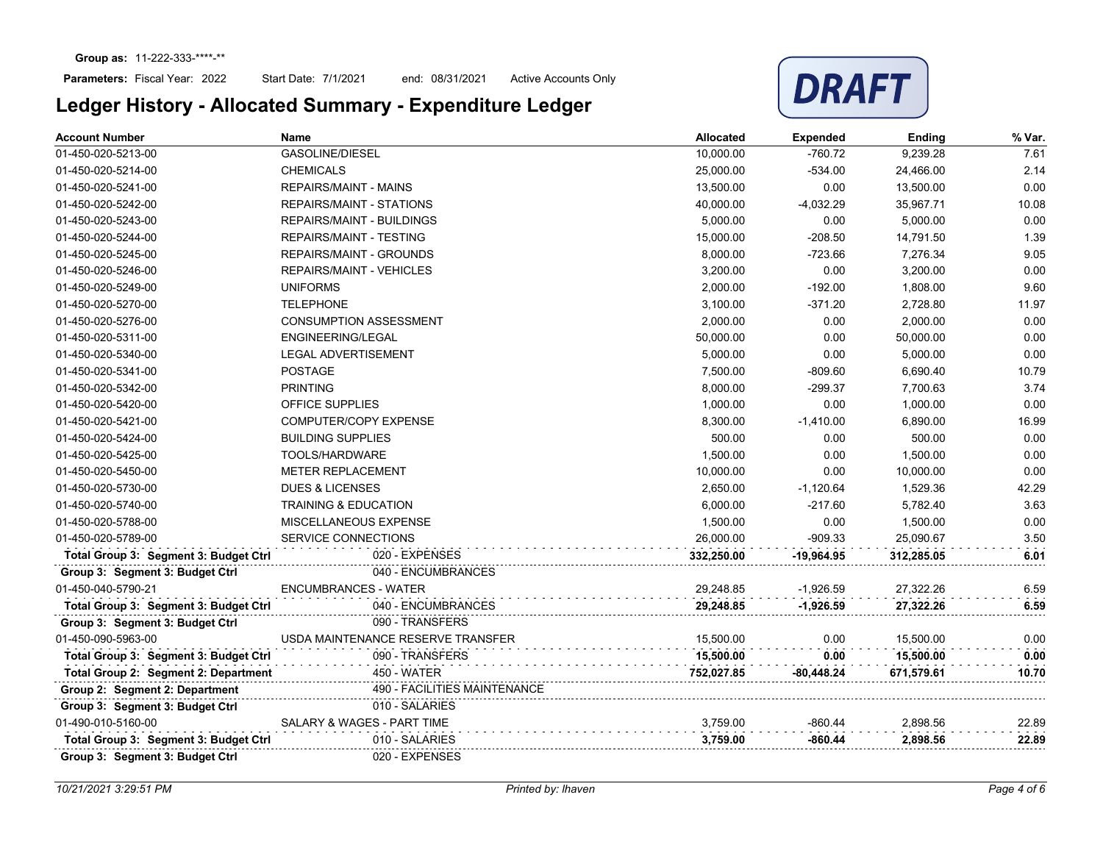### Parameters: Fiscal Year: 2022

Start Date: 7/1/2021 end: 08/31/2021 Active Accounts Only



| <b>Account Number</b>                 | <b>Name</b>                         | <b>Allocated</b> | <b>Expended</b> | Ending     | % Var. |
|---------------------------------------|-------------------------------------|------------------|-----------------|------------|--------|
| 01-450-020-5213-00                    | <b>GASOLINE/DIESEL</b>              | 10,000.00        | $-760.72$       | 9,239.28   | 7.61   |
| 01-450-020-5214-00                    | <b>CHEMICALS</b>                    | 25,000.00        | $-534.00$       | 24,466.00  | 2.14   |
| 01-450-020-5241-00                    | <b>REPAIRS/MAINT - MAINS</b>        | 13,500.00        | 0.00            | 13,500.00  | 0.00   |
| 01-450-020-5242-00                    | <b>REPAIRS/MAINT - STATIONS</b>     | 40,000.00        | $-4,032.29$     | 35.967.71  | 10.08  |
| 01-450-020-5243-00                    | <b>REPAIRS/MAINT - BUILDINGS</b>    | 5,000.00         | 0.00            | 5,000.00   | 0.00   |
| 01-450-020-5244-00                    | <b>REPAIRS/MAINT - TESTING</b>      | 15,000.00        | $-208.50$       | 14,791.50  | 1.39   |
| 01-450-020-5245-00                    | <b>REPAIRS/MAINT - GROUNDS</b>      | 8,000.00         | $-723.66$       | 7,276.34   | 9.05   |
| 01-450-020-5246-00                    | <b>REPAIRS/MAINT - VEHICLES</b>     | 3,200.00         | 0.00            | 3,200.00   | 0.00   |
| 01-450-020-5249-00                    | <b>UNIFORMS</b>                     | 2,000.00         | $-192.00$       | 1,808.00   | 9.60   |
| 01-450-020-5270-00                    | <b>TELEPHONE</b>                    | 3,100.00         | $-371.20$       | 2,728.80   | 11.97  |
| 01-450-020-5276-00                    | <b>CONSUMPTION ASSESSMENT</b>       | 2,000.00         | 0.00            | 2,000.00   | 0.00   |
| 01-450-020-5311-00                    | ENGINEERING/LEGAL                   | 50,000.00        | 0.00            | 50,000.00  | 0.00   |
| 01-450-020-5340-00                    | <b>LEGAL ADVERTISEMENT</b>          | 5,000.00         | 0.00            | 5,000.00   | 0.00   |
| 01-450-020-5341-00                    | <b>POSTAGE</b>                      | 7,500.00         | $-809.60$       | 6,690.40   | 10.79  |
| 01-450-020-5342-00                    | <b>PRINTING</b>                     | 8,000.00         | $-299.37$       | 7,700.63   | 3.74   |
| 01-450-020-5420-00                    | <b>OFFICE SUPPLIES</b>              | 1,000.00         | 0.00            | 1.000.00   | 0.00   |
| 01-450-020-5421-00                    | COMPUTER/COPY EXPENSE               | 8,300.00         | $-1,410.00$     | 6,890.00   | 16.99  |
| 01-450-020-5424-00                    | <b>BUILDING SUPPLIES</b>            | 500.00           | 0.00            | 500.00     | 0.00   |
| 01-450-020-5425-00                    | TOOLS/HARDWARE                      | 1,500.00         | 0.00            | 1,500.00   | 0.00   |
| 01-450-020-5450-00                    | METER REPLACEMENT                   | 10,000.00        | 0.00            | 10,000.00  | 0.00   |
| 01-450-020-5730-00                    | <b>DUES &amp; LICENSES</b>          | 2,650.00         | $-1,120.64$     | 1,529.36   | 42.29  |
| 01-450-020-5740-00                    | <b>TRAINING &amp; EDUCATION</b>     | 6,000.00         | $-217.60$       | 5,782.40   | 3.63   |
| 01-450-020-5788-00                    | MISCELLANEOUS EXPENSE               | 1,500.00         | 0.00            | 1,500.00   | 0.00   |
| 01-450-020-5789-00                    | <b>SERVICE CONNECTIONS</b>          | 26,000.00        | $-909.33$       | 25.090.67  | 3.50   |
| Total Group 3: Segment 3: Budget Ctrl | 020 - EXPENSES                      | 332,250.00       | $-19,964.95$    | 312,285.05 | 6.01   |
| Group 3: Segment 3: Budget Ctrl       | 040 - ENCUMBRANCES                  |                  |                 |            |        |
| 01-450-040-5790-21                    | <b>ENCUMBRANCES - WATER</b>         | 29,248.85        | $-1,926.59$     | 27,322.26  | 6.59   |
| Total Group 3: Segment 3: Budget Ctrl | 040 - ENCUMBRANCES                  | 29.248.85        | $-1,926.59$     | 27,322.26  | 6.59   |
| Group 3: Segment 3: Budget Ctrl       | 090 - TRANSFERS                     |                  |                 |            |        |
| 01-450-090-5963-00                    | USDA MAINTENANCE RESERVE TRANSFER   | 15.500.00        | 0.00            | 15.500.00  | 0.00   |
| Total Group 3: Segment 3: Budget Ctrl | 090 - TRANSFERS                     | 15,500.00        | 0.00            | 15,500.00  | 0.00   |
| Total Group 2: Segment 2: Department  | 450 - WATER                         | 752,027.85       | $-80,448.24$    | 671,579.61 | 10.70  |
| Group 2: Segment 2: Department        | <b>490 - FACILITIES MAINTENANCE</b> |                  |                 |            |        |
| Group 3: Segment 3: Budget Ctrl       | 010 - SALARIES                      |                  |                 |            |        |
| 01-490-010-5160-00                    | SALARY & WAGES - PART TIME          | 3,759.00         | $-860.44$       | 2,898.56   | 22.89  |
| Total Group 3: Segment 3: Budget Ctrl | 010 - SALARIES                      | 3,759.00         | $-860.44$       | 2,898.56   | 22.89  |
| Group 3: Segment 3: Budget Ctrl       | 020 - EXPENSES                      |                  |                 |            |        |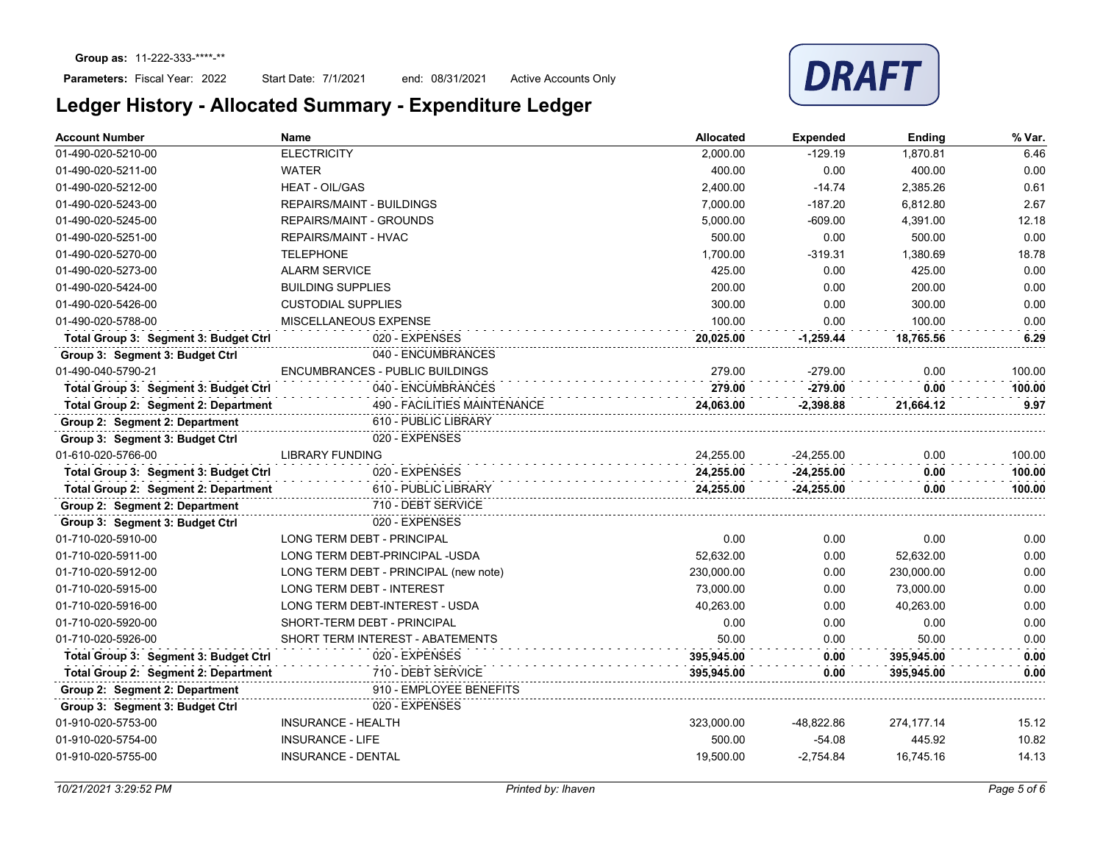

| 01-490-020-5210-00<br><b>ELECTRICITY</b><br>2,000.00<br>$-129.19$<br>1,870.81<br>400.00<br>0.00<br>400.00<br>01-490-020-5211-00<br><b>WATER</b><br>$-14.74$<br>0.61<br><b>HEAT - OIL/GAS</b><br>2,400.00<br>2,385.26<br>01-490-020-5212-00<br>2.67<br>$-187.20$<br>7,000.00<br>6,812.80<br>01-490-020-5243-00<br><b>REPAIRS/MAINT - BUILDINGS</b><br>5,000.00<br>$-609.00$<br>4,391.00<br>12.18<br>01-490-020-5245-00<br><b>REPAIRS/MAINT - GROUNDS</b><br>500.00<br>0.00<br>500.00<br>0.00<br>01-490-020-5251-00<br><b>REPAIRS/MAINT - HVAC</b><br>1,700.00<br>1,380.69<br>18.78<br>01-490-020-5270-00<br><b>TELEPHONE</b><br>$-319.31$<br>425.00<br>0.00<br><b>ALARM SERVICE</b><br>425.00<br>0.00<br>01-490-020-5273-00<br>200.00<br>0.00<br><b>BUILDING SUPPLIES</b><br>200.00<br>0.00<br>01-490-020-5424-00<br>300.00<br>0.00<br>01-490-020-5426-00<br><b>CUSTODIAL SUPPLIES</b><br>300.00<br>0.00<br>01-490-020-5788-00<br>MISCELLANEOUS EXPENSE<br>100.00<br>0.00<br>100.00<br>0.00<br>Total Group 3: Segment 3: Budget Ctrl<br>020 - EXPENSES<br>6.29<br>20,025.00<br>$-1,259.44$<br>18,765.56<br>040 - ENCUMBRANCES<br>Group 3: Segment 3: Budget Ctrl<br>01-490-040-5790-21<br>ENCUMBRANCES - PUBLIC BUILDINGS<br>279.00<br>$-279.00$<br>0.00<br>100.00<br>040 - ENCUMBRANCES<br>Total Group 3: Segment 3: Budget Ctrl<br>279.00<br>$-279.00$<br>0.00<br>100.00<br>490 - FACILITIES MAINTENANCE<br>Total Group 2: Segment 2: Department<br>24,063.00<br>$-2,398.88$<br>21,664.12<br>610 - PUBLIC LIBRARY<br>Group 2: Segment 2: Department<br>020 - EXPENSES<br>Group 3: Segment 3: Budget Ctrl<br><b>LIBRARY FUNDING</b><br>01-610-020-5766-00<br>24,255.00<br>$-24,255.00$<br>0.00<br>100.00<br>020 - EXPENSES<br>100.00<br>Total Group 3: Segment 3: Budget Ctrl<br>24,255.00<br>$-24,255.00$<br>0.00<br>Total Group 2: Segment 2: Department<br>610 - PUBLIC LIBRARY<br>100.00<br>24,255.00<br>$-24,255.00$<br>0.00<br>Group 2: Segment 2: Department<br>710 - DEBT SERVICE<br>020 - EXPENSES<br>Group 3: Segment 3: Budget Ctrl<br>0.00<br>0.00<br>01-710-020-5910-00<br>LONG TERM DEBT - PRINCIPAL<br>0.00<br>0.00<br>01-710-020-5911-00<br>LONG TERM DEBT-PRINCIPAL -USDA<br>52,632.00<br>0.00<br>52,632.00<br>01-710-020-5912-00<br>LONG TERM DEBT - PRINCIPAL (new note)<br>230,000.00<br>0.00<br>230,000.00<br>0.00<br>01-710-020-5915-00<br><b>LONG TERM DEBT - INTEREST</b><br>73.000.00<br>0.00<br>73.000.00<br>LONG TERM DEBT-INTEREST - USDA<br>40.263.00<br>0.00<br>40.263.00<br>01-710-020-5916-00<br>0.00<br>0.00<br>0.00<br>01-710-020-5920-00<br>SHORT-TERM DEBT - PRINCIPAL<br>0.00<br>50.00<br>50.00<br>0.00<br>01-710-020-5926-00<br>SHORT TERM INTEREST - ABATEMENTS<br>0.00<br>Total Group 3: Segment 3: Budget Ctrl<br>020 - EXPENSES<br>395,945.00<br>0.00<br>0.00<br>395,945.00<br>710 - DEBT SERVICE<br>Total Group 2: Segment 2: Department<br>395,945.00<br>0.00<br>395,945.00<br>0.00<br>910 - EMPLOYEE BENEFITS<br>Group 2: Segment 2: Department<br>020 - EXPENSES<br>Group 3: Segment 3: Budget Ctrl<br><b>INSURANCE - HEALTH</b><br>323,000.00<br>274,177.14<br>15.12<br>01-910-020-5753-00<br>-48,822.86<br><b>INSURANCE - LIFE</b><br>500.00<br>$-54.08$<br>445.92<br>01-910-020-5754-00<br><b>INSURANCE - DENTAL</b><br>19,500.00<br>$-2,754.84$<br>01-910-020-5755-00<br>16,745.16 | <b>Account Number</b> | <b>Name</b> | Allocated | <b>Expended</b> | Ending | % Var. |
|--------------------------------------------------------------------------------------------------------------------------------------------------------------------------------------------------------------------------------------------------------------------------------------------------------------------------------------------------------------------------------------------------------------------------------------------------------------------------------------------------------------------------------------------------------------------------------------------------------------------------------------------------------------------------------------------------------------------------------------------------------------------------------------------------------------------------------------------------------------------------------------------------------------------------------------------------------------------------------------------------------------------------------------------------------------------------------------------------------------------------------------------------------------------------------------------------------------------------------------------------------------------------------------------------------------------------------------------------------------------------------------------------------------------------------------------------------------------------------------------------------------------------------------------------------------------------------------------------------------------------------------------------------------------------------------------------------------------------------------------------------------------------------------------------------------------------------------------------------------------------------------------------------------------------------------------------------------------------------------------------------------------------------------------------------------------------------------------------------------------------------------------------------------------------------------------------------------------------------------------------------------------------------------------------------------------------------------------------------------------------------------------------------------------------------------------------------------------------------------------------------------------------------------------------------------------------------------------------------------------------------------------------------------------------------------------------------------------------------------------------------------------------------------------------------------------------------------------------------------------------------------------------------------------------------------------------------------------------------------------------------------------------------------------------------------------------------------------------------------------------------------------------------------------------------------------------------------------------------------------------------------------------------------------------------------------------------------|-----------------------|-------------|-----------|-----------------|--------|--------|
|                                                                                                                                                                                                                                                                                                                                                                                                                                                                                                                                                                                                                                                                                                                                                                                                                                                                                                                                                                                                                                                                                                                                                                                                                                                                                                                                                                                                                                                                                                                                                                                                                                                                                                                                                                                                                                                                                                                                                                                                                                                                                                                                                                                                                                                                                                                                                                                                                                                                                                                                                                                                                                                                                                                                                                                                                                                                                                                                                                                                                                                                                                                                                                                                                                                                                                                                      |                       |             |           |                 |        | 6.46   |
|                                                                                                                                                                                                                                                                                                                                                                                                                                                                                                                                                                                                                                                                                                                                                                                                                                                                                                                                                                                                                                                                                                                                                                                                                                                                                                                                                                                                                                                                                                                                                                                                                                                                                                                                                                                                                                                                                                                                                                                                                                                                                                                                                                                                                                                                                                                                                                                                                                                                                                                                                                                                                                                                                                                                                                                                                                                                                                                                                                                                                                                                                                                                                                                                                                                                                                                                      |                       |             |           |                 |        | 0.00   |
|                                                                                                                                                                                                                                                                                                                                                                                                                                                                                                                                                                                                                                                                                                                                                                                                                                                                                                                                                                                                                                                                                                                                                                                                                                                                                                                                                                                                                                                                                                                                                                                                                                                                                                                                                                                                                                                                                                                                                                                                                                                                                                                                                                                                                                                                                                                                                                                                                                                                                                                                                                                                                                                                                                                                                                                                                                                                                                                                                                                                                                                                                                                                                                                                                                                                                                                                      |                       |             |           |                 |        |        |
|                                                                                                                                                                                                                                                                                                                                                                                                                                                                                                                                                                                                                                                                                                                                                                                                                                                                                                                                                                                                                                                                                                                                                                                                                                                                                                                                                                                                                                                                                                                                                                                                                                                                                                                                                                                                                                                                                                                                                                                                                                                                                                                                                                                                                                                                                                                                                                                                                                                                                                                                                                                                                                                                                                                                                                                                                                                                                                                                                                                                                                                                                                                                                                                                                                                                                                                                      |                       |             |           |                 |        |        |
|                                                                                                                                                                                                                                                                                                                                                                                                                                                                                                                                                                                                                                                                                                                                                                                                                                                                                                                                                                                                                                                                                                                                                                                                                                                                                                                                                                                                                                                                                                                                                                                                                                                                                                                                                                                                                                                                                                                                                                                                                                                                                                                                                                                                                                                                                                                                                                                                                                                                                                                                                                                                                                                                                                                                                                                                                                                                                                                                                                                                                                                                                                                                                                                                                                                                                                                                      |                       |             |           |                 |        |        |
|                                                                                                                                                                                                                                                                                                                                                                                                                                                                                                                                                                                                                                                                                                                                                                                                                                                                                                                                                                                                                                                                                                                                                                                                                                                                                                                                                                                                                                                                                                                                                                                                                                                                                                                                                                                                                                                                                                                                                                                                                                                                                                                                                                                                                                                                                                                                                                                                                                                                                                                                                                                                                                                                                                                                                                                                                                                                                                                                                                                                                                                                                                                                                                                                                                                                                                                                      |                       |             |           |                 |        |        |
|                                                                                                                                                                                                                                                                                                                                                                                                                                                                                                                                                                                                                                                                                                                                                                                                                                                                                                                                                                                                                                                                                                                                                                                                                                                                                                                                                                                                                                                                                                                                                                                                                                                                                                                                                                                                                                                                                                                                                                                                                                                                                                                                                                                                                                                                                                                                                                                                                                                                                                                                                                                                                                                                                                                                                                                                                                                                                                                                                                                                                                                                                                                                                                                                                                                                                                                                      |                       |             |           |                 |        |        |
|                                                                                                                                                                                                                                                                                                                                                                                                                                                                                                                                                                                                                                                                                                                                                                                                                                                                                                                                                                                                                                                                                                                                                                                                                                                                                                                                                                                                                                                                                                                                                                                                                                                                                                                                                                                                                                                                                                                                                                                                                                                                                                                                                                                                                                                                                                                                                                                                                                                                                                                                                                                                                                                                                                                                                                                                                                                                                                                                                                                                                                                                                                                                                                                                                                                                                                                                      |                       |             |           |                 |        |        |
|                                                                                                                                                                                                                                                                                                                                                                                                                                                                                                                                                                                                                                                                                                                                                                                                                                                                                                                                                                                                                                                                                                                                                                                                                                                                                                                                                                                                                                                                                                                                                                                                                                                                                                                                                                                                                                                                                                                                                                                                                                                                                                                                                                                                                                                                                                                                                                                                                                                                                                                                                                                                                                                                                                                                                                                                                                                                                                                                                                                                                                                                                                                                                                                                                                                                                                                                      |                       |             |           |                 |        |        |
|                                                                                                                                                                                                                                                                                                                                                                                                                                                                                                                                                                                                                                                                                                                                                                                                                                                                                                                                                                                                                                                                                                                                                                                                                                                                                                                                                                                                                                                                                                                                                                                                                                                                                                                                                                                                                                                                                                                                                                                                                                                                                                                                                                                                                                                                                                                                                                                                                                                                                                                                                                                                                                                                                                                                                                                                                                                                                                                                                                                                                                                                                                                                                                                                                                                                                                                                      |                       |             |           |                 |        |        |
|                                                                                                                                                                                                                                                                                                                                                                                                                                                                                                                                                                                                                                                                                                                                                                                                                                                                                                                                                                                                                                                                                                                                                                                                                                                                                                                                                                                                                                                                                                                                                                                                                                                                                                                                                                                                                                                                                                                                                                                                                                                                                                                                                                                                                                                                                                                                                                                                                                                                                                                                                                                                                                                                                                                                                                                                                                                                                                                                                                                                                                                                                                                                                                                                                                                                                                                                      |                       |             |           |                 |        |        |
|                                                                                                                                                                                                                                                                                                                                                                                                                                                                                                                                                                                                                                                                                                                                                                                                                                                                                                                                                                                                                                                                                                                                                                                                                                                                                                                                                                                                                                                                                                                                                                                                                                                                                                                                                                                                                                                                                                                                                                                                                                                                                                                                                                                                                                                                                                                                                                                                                                                                                                                                                                                                                                                                                                                                                                                                                                                                                                                                                                                                                                                                                                                                                                                                                                                                                                                                      |                       |             |           |                 |        |        |
|                                                                                                                                                                                                                                                                                                                                                                                                                                                                                                                                                                                                                                                                                                                                                                                                                                                                                                                                                                                                                                                                                                                                                                                                                                                                                                                                                                                                                                                                                                                                                                                                                                                                                                                                                                                                                                                                                                                                                                                                                                                                                                                                                                                                                                                                                                                                                                                                                                                                                                                                                                                                                                                                                                                                                                                                                                                                                                                                                                                                                                                                                                                                                                                                                                                                                                                                      |                       |             |           |                 |        |        |
|                                                                                                                                                                                                                                                                                                                                                                                                                                                                                                                                                                                                                                                                                                                                                                                                                                                                                                                                                                                                                                                                                                                                                                                                                                                                                                                                                                                                                                                                                                                                                                                                                                                                                                                                                                                                                                                                                                                                                                                                                                                                                                                                                                                                                                                                                                                                                                                                                                                                                                                                                                                                                                                                                                                                                                                                                                                                                                                                                                                                                                                                                                                                                                                                                                                                                                                                      |                       |             |           |                 |        |        |
|                                                                                                                                                                                                                                                                                                                                                                                                                                                                                                                                                                                                                                                                                                                                                                                                                                                                                                                                                                                                                                                                                                                                                                                                                                                                                                                                                                                                                                                                                                                                                                                                                                                                                                                                                                                                                                                                                                                                                                                                                                                                                                                                                                                                                                                                                                                                                                                                                                                                                                                                                                                                                                                                                                                                                                                                                                                                                                                                                                                                                                                                                                                                                                                                                                                                                                                                      |                       |             |           |                 |        |        |
|                                                                                                                                                                                                                                                                                                                                                                                                                                                                                                                                                                                                                                                                                                                                                                                                                                                                                                                                                                                                                                                                                                                                                                                                                                                                                                                                                                                                                                                                                                                                                                                                                                                                                                                                                                                                                                                                                                                                                                                                                                                                                                                                                                                                                                                                                                                                                                                                                                                                                                                                                                                                                                                                                                                                                                                                                                                                                                                                                                                                                                                                                                                                                                                                                                                                                                                                      |                       |             |           |                 |        | 9.97   |
|                                                                                                                                                                                                                                                                                                                                                                                                                                                                                                                                                                                                                                                                                                                                                                                                                                                                                                                                                                                                                                                                                                                                                                                                                                                                                                                                                                                                                                                                                                                                                                                                                                                                                                                                                                                                                                                                                                                                                                                                                                                                                                                                                                                                                                                                                                                                                                                                                                                                                                                                                                                                                                                                                                                                                                                                                                                                                                                                                                                                                                                                                                                                                                                                                                                                                                                                      |                       |             |           |                 |        |        |
|                                                                                                                                                                                                                                                                                                                                                                                                                                                                                                                                                                                                                                                                                                                                                                                                                                                                                                                                                                                                                                                                                                                                                                                                                                                                                                                                                                                                                                                                                                                                                                                                                                                                                                                                                                                                                                                                                                                                                                                                                                                                                                                                                                                                                                                                                                                                                                                                                                                                                                                                                                                                                                                                                                                                                                                                                                                                                                                                                                                                                                                                                                                                                                                                                                                                                                                                      |                       |             |           |                 |        |        |
|                                                                                                                                                                                                                                                                                                                                                                                                                                                                                                                                                                                                                                                                                                                                                                                                                                                                                                                                                                                                                                                                                                                                                                                                                                                                                                                                                                                                                                                                                                                                                                                                                                                                                                                                                                                                                                                                                                                                                                                                                                                                                                                                                                                                                                                                                                                                                                                                                                                                                                                                                                                                                                                                                                                                                                                                                                                                                                                                                                                                                                                                                                                                                                                                                                                                                                                                      |                       |             |           |                 |        |        |
|                                                                                                                                                                                                                                                                                                                                                                                                                                                                                                                                                                                                                                                                                                                                                                                                                                                                                                                                                                                                                                                                                                                                                                                                                                                                                                                                                                                                                                                                                                                                                                                                                                                                                                                                                                                                                                                                                                                                                                                                                                                                                                                                                                                                                                                                                                                                                                                                                                                                                                                                                                                                                                                                                                                                                                                                                                                                                                                                                                                                                                                                                                                                                                                                                                                                                                                                      |                       |             |           |                 |        |        |
|                                                                                                                                                                                                                                                                                                                                                                                                                                                                                                                                                                                                                                                                                                                                                                                                                                                                                                                                                                                                                                                                                                                                                                                                                                                                                                                                                                                                                                                                                                                                                                                                                                                                                                                                                                                                                                                                                                                                                                                                                                                                                                                                                                                                                                                                                                                                                                                                                                                                                                                                                                                                                                                                                                                                                                                                                                                                                                                                                                                                                                                                                                                                                                                                                                                                                                                                      |                       |             |           |                 |        |        |
|                                                                                                                                                                                                                                                                                                                                                                                                                                                                                                                                                                                                                                                                                                                                                                                                                                                                                                                                                                                                                                                                                                                                                                                                                                                                                                                                                                                                                                                                                                                                                                                                                                                                                                                                                                                                                                                                                                                                                                                                                                                                                                                                                                                                                                                                                                                                                                                                                                                                                                                                                                                                                                                                                                                                                                                                                                                                                                                                                                                                                                                                                                                                                                                                                                                                                                                                      |                       |             |           |                 |        |        |
|                                                                                                                                                                                                                                                                                                                                                                                                                                                                                                                                                                                                                                                                                                                                                                                                                                                                                                                                                                                                                                                                                                                                                                                                                                                                                                                                                                                                                                                                                                                                                                                                                                                                                                                                                                                                                                                                                                                                                                                                                                                                                                                                                                                                                                                                                                                                                                                                                                                                                                                                                                                                                                                                                                                                                                                                                                                                                                                                                                                                                                                                                                                                                                                                                                                                                                                                      |                       |             |           |                 |        |        |
|                                                                                                                                                                                                                                                                                                                                                                                                                                                                                                                                                                                                                                                                                                                                                                                                                                                                                                                                                                                                                                                                                                                                                                                                                                                                                                                                                                                                                                                                                                                                                                                                                                                                                                                                                                                                                                                                                                                                                                                                                                                                                                                                                                                                                                                                                                                                                                                                                                                                                                                                                                                                                                                                                                                                                                                                                                                                                                                                                                                                                                                                                                                                                                                                                                                                                                                                      |                       |             |           |                 |        | 0.00   |
|                                                                                                                                                                                                                                                                                                                                                                                                                                                                                                                                                                                                                                                                                                                                                                                                                                                                                                                                                                                                                                                                                                                                                                                                                                                                                                                                                                                                                                                                                                                                                                                                                                                                                                                                                                                                                                                                                                                                                                                                                                                                                                                                                                                                                                                                                                                                                                                                                                                                                                                                                                                                                                                                                                                                                                                                                                                                                                                                                                                                                                                                                                                                                                                                                                                                                                                                      |                       |             |           |                 |        |        |
|                                                                                                                                                                                                                                                                                                                                                                                                                                                                                                                                                                                                                                                                                                                                                                                                                                                                                                                                                                                                                                                                                                                                                                                                                                                                                                                                                                                                                                                                                                                                                                                                                                                                                                                                                                                                                                                                                                                                                                                                                                                                                                                                                                                                                                                                                                                                                                                                                                                                                                                                                                                                                                                                                                                                                                                                                                                                                                                                                                                                                                                                                                                                                                                                                                                                                                                                      |                       |             |           |                 |        | 0.00   |
|                                                                                                                                                                                                                                                                                                                                                                                                                                                                                                                                                                                                                                                                                                                                                                                                                                                                                                                                                                                                                                                                                                                                                                                                                                                                                                                                                                                                                                                                                                                                                                                                                                                                                                                                                                                                                                                                                                                                                                                                                                                                                                                                                                                                                                                                                                                                                                                                                                                                                                                                                                                                                                                                                                                                                                                                                                                                                                                                                                                                                                                                                                                                                                                                                                                                                                                                      |                       |             |           |                 |        |        |
|                                                                                                                                                                                                                                                                                                                                                                                                                                                                                                                                                                                                                                                                                                                                                                                                                                                                                                                                                                                                                                                                                                                                                                                                                                                                                                                                                                                                                                                                                                                                                                                                                                                                                                                                                                                                                                                                                                                                                                                                                                                                                                                                                                                                                                                                                                                                                                                                                                                                                                                                                                                                                                                                                                                                                                                                                                                                                                                                                                                                                                                                                                                                                                                                                                                                                                                                      |                       |             |           |                 |        | 0.00   |
|                                                                                                                                                                                                                                                                                                                                                                                                                                                                                                                                                                                                                                                                                                                                                                                                                                                                                                                                                                                                                                                                                                                                                                                                                                                                                                                                                                                                                                                                                                                                                                                                                                                                                                                                                                                                                                                                                                                                                                                                                                                                                                                                                                                                                                                                                                                                                                                                                                                                                                                                                                                                                                                                                                                                                                                                                                                                                                                                                                                                                                                                                                                                                                                                                                                                                                                                      |                       |             |           |                 |        |        |
|                                                                                                                                                                                                                                                                                                                                                                                                                                                                                                                                                                                                                                                                                                                                                                                                                                                                                                                                                                                                                                                                                                                                                                                                                                                                                                                                                                                                                                                                                                                                                                                                                                                                                                                                                                                                                                                                                                                                                                                                                                                                                                                                                                                                                                                                                                                                                                                                                                                                                                                                                                                                                                                                                                                                                                                                                                                                                                                                                                                                                                                                                                                                                                                                                                                                                                                                      |                       |             |           |                 |        |        |
|                                                                                                                                                                                                                                                                                                                                                                                                                                                                                                                                                                                                                                                                                                                                                                                                                                                                                                                                                                                                                                                                                                                                                                                                                                                                                                                                                                                                                                                                                                                                                                                                                                                                                                                                                                                                                                                                                                                                                                                                                                                                                                                                                                                                                                                                                                                                                                                                                                                                                                                                                                                                                                                                                                                                                                                                                                                                                                                                                                                                                                                                                                                                                                                                                                                                                                                                      |                       |             |           |                 |        |        |
|                                                                                                                                                                                                                                                                                                                                                                                                                                                                                                                                                                                                                                                                                                                                                                                                                                                                                                                                                                                                                                                                                                                                                                                                                                                                                                                                                                                                                                                                                                                                                                                                                                                                                                                                                                                                                                                                                                                                                                                                                                                                                                                                                                                                                                                                                                                                                                                                                                                                                                                                                                                                                                                                                                                                                                                                                                                                                                                                                                                                                                                                                                                                                                                                                                                                                                                                      |                       |             |           |                 |        |        |
|                                                                                                                                                                                                                                                                                                                                                                                                                                                                                                                                                                                                                                                                                                                                                                                                                                                                                                                                                                                                                                                                                                                                                                                                                                                                                                                                                                                                                                                                                                                                                                                                                                                                                                                                                                                                                                                                                                                                                                                                                                                                                                                                                                                                                                                                                                                                                                                                                                                                                                                                                                                                                                                                                                                                                                                                                                                                                                                                                                                                                                                                                                                                                                                                                                                                                                                                      |                       |             |           |                 |        |        |
|                                                                                                                                                                                                                                                                                                                                                                                                                                                                                                                                                                                                                                                                                                                                                                                                                                                                                                                                                                                                                                                                                                                                                                                                                                                                                                                                                                                                                                                                                                                                                                                                                                                                                                                                                                                                                                                                                                                                                                                                                                                                                                                                                                                                                                                                                                                                                                                                                                                                                                                                                                                                                                                                                                                                                                                                                                                                                                                                                                                                                                                                                                                                                                                                                                                                                                                                      |                       |             |           |                 |        |        |
|                                                                                                                                                                                                                                                                                                                                                                                                                                                                                                                                                                                                                                                                                                                                                                                                                                                                                                                                                                                                                                                                                                                                                                                                                                                                                                                                                                                                                                                                                                                                                                                                                                                                                                                                                                                                                                                                                                                                                                                                                                                                                                                                                                                                                                                                                                                                                                                                                                                                                                                                                                                                                                                                                                                                                                                                                                                                                                                                                                                                                                                                                                                                                                                                                                                                                                                                      |                       |             |           |                 |        |        |
|                                                                                                                                                                                                                                                                                                                                                                                                                                                                                                                                                                                                                                                                                                                                                                                                                                                                                                                                                                                                                                                                                                                                                                                                                                                                                                                                                                                                                                                                                                                                                                                                                                                                                                                                                                                                                                                                                                                                                                                                                                                                                                                                                                                                                                                                                                                                                                                                                                                                                                                                                                                                                                                                                                                                                                                                                                                                                                                                                                                                                                                                                                                                                                                                                                                                                                                                      |                       |             |           |                 |        | 10.82  |
|                                                                                                                                                                                                                                                                                                                                                                                                                                                                                                                                                                                                                                                                                                                                                                                                                                                                                                                                                                                                                                                                                                                                                                                                                                                                                                                                                                                                                                                                                                                                                                                                                                                                                                                                                                                                                                                                                                                                                                                                                                                                                                                                                                                                                                                                                                                                                                                                                                                                                                                                                                                                                                                                                                                                                                                                                                                                                                                                                                                                                                                                                                                                                                                                                                                                                                                                      |                       |             |           |                 |        | 14.13  |